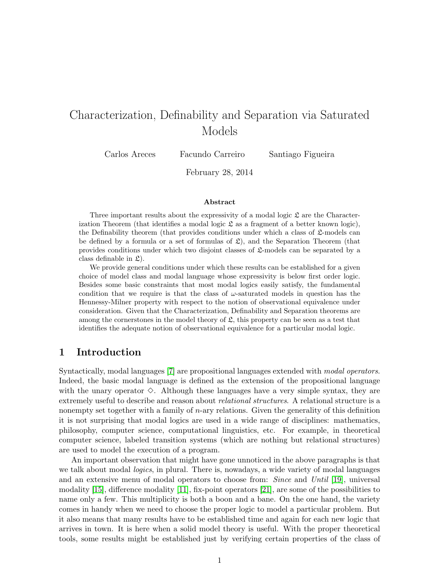# Characterization, Definability and Separation via Saturated Models

Carlos Areces Facundo Carreiro Santiago Figueira

February 28, 2014

#### Abstract

Three important results about the expressivity of a modal logic  $\mathfrak L$  are the Characterization Theorem (that identifies a modal logic  $\mathfrak L$  as a fragment of a better known logic), the Definability theorem (that provides conditions under which a class of  $\mathfrak{L}$ -models can be defined by a formula or a set of formulas of  $\mathfrak{L}$ ), and the Separation Theorem (that provides conditions under which two disjoint classes of  $\mathfrak{L}$ -models can be separated by a class definable in  $\mathfrak{L}$ ).

We provide general conditions under which these results can be established for a given choice of model class and modal language whose expressivity is below first order logic. Besides some basic constraints that most modal logics easily satisfy, the fundamental condition that we require is that the class of  $\omega$ -saturated models in question has the Hennessy-Milner property with respect to the notion of observational equivalence under consideration. Given that the Characterization, Definability and Separation theorems are among the cornerstones in the model theory of  $\mathfrak{L}$ , this property can be seen as a test that identifies the adequate notion of observational equivalence for a particular modal logic.

### <span id="page-0-0"></span>1 Introduction

Syntactically, modal languages [\[7\]](#page-21-0) are propositional languages extended with modal operators. Indeed, the basic modal language is defined as the extension of the propositional language with the unary operator  $\diamond$ . Although these languages have a very simple syntax, they are extremely useful to describe and reason about relational structures. A relational structure is a nonempty set together with a family of  $n$ -ary relations. Given the generality of this definition it is not surprising that modal logics are used in a wide range of disciplines: mathematics, philosophy, computer science, computational linguistics, etc. For example, in theoretical computer science, labeled transition systems (which are nothing but relational structures) are used to model the execution of a program.

An important observation that might have gone unnoticed in the above paragraphs is that we talk about modal *logics*, in plural. There is, nowadays, a wide variety of modal languages and an extensive menu of modal operators to choose from: Since and Until [\[19\]](#page-21-1), universal modality [\[15\]](#page-21-2), difference modality [\[11\]](#page-21-3), fix-point operators [\[21\]](#page-22-0), are some of the possibilities to name only a few. This multiplicity is both a boon and a bane. On the one hand, the variety comes in handy when we need to choose the proper logic to model a particular problem. But it also means that many results have to be established time and again for each new logic that arrives in town. It is here when a solid model theory is useful. With the proper theoretical tools, some results might be established just by verifying certain properties of the class of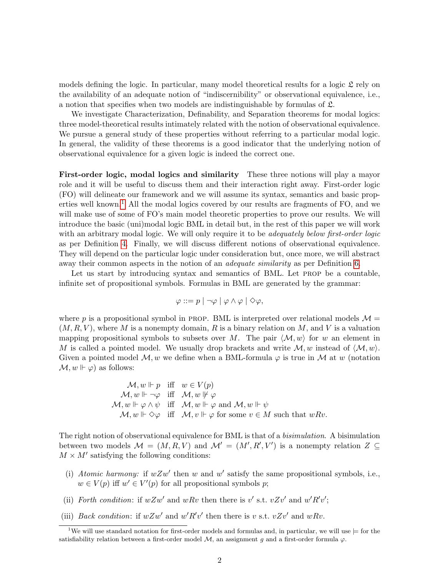models defining the logic. In particular, many model theoretical results for a logic  $\mathfrak L$  rely on the availability of an adequate notion of "indiscernibility" or observational equivalence, i.e., a notion that specifies when two models are indistinguishable by formulas of L.

We investigate Characterization, Definability, and Separation theorems for modal logics: three model-theoretical results intimately related with the notion of observational equivalence. We pursue a general study of these properties without referring to a particular modal logic. In general, the validity of these theorems is a good indicator that the underlying notion of observational equivalence for a given logic is indeed the correct one.

<span id="page-1-1"></span>First-order logic, modal logics and similarity These three notions will play a mayor role and it will be useful to discuss them and their interaction right away. First-order logic (FO) will delineate our framework and we will assume its syntax, semantics and basic prop-erties well known.<sup>[1](#page-1-0)</sup> All the modal logics covered by our results are fragments of FO, and we will make use of some of FO's main model theoretic properties to prove our results. We will introduce the basic (uni)modal logic BML in detail but, in the rest of this paper we will work with an arbitrary modal logic. We will only require it to be *adequately below first-order logic* as per Definition [4.](#page-5-0) Finally, we will discuss different notions of observational equivalence. They will depend on the particular logic under consideration but, once more, we will abstract away their common aspects in the notion of an *adequate similarity* as per Definition [6.](#page-6-0)

Let us start by introducing syntax and semantics of BML. Let PROP be a countable, infinite set of propositional symbols. Formulas in BML are generated by the grammar:

$$
\varphi ::= p \mid \neg \varphi \mid \varphi \land \varphi \mid \Diamond \varphi,
$$

where p is a propositional symbol in PROP. BML is interpreted over relational models  $\mathcal{M} =$  $(M, R, V)$ , where M is a nonempty domain, R is a binary relation on M, and V is a valuation mapping propositional symbols to subsets over M. The pair  $\langle M, w \rangle$  for w an element in M is called a pointed model. We usually drop brackets and write  $\mathcal{M}, w$  instead of  $\langle \mathcal{M}, w \rangle$ . Given a pointed model  $\mathcal{M}, w$  we define when a BML-formula  $\varphi$  is true in  $\mathcal M$  at w (notation  $\mathcal{M}, w \Vdash \varphi$  as follows:

$$
\mathcal{M}, w \Vdash p \quad \text{iff} \quad w \in V(p) \n\mathcal{M}, w \Vdash \neg \varphi \quad \text{iff} \quad \mathcal{M}, w \Vdash \varphi \n\mathcal{M}, w \Vdash \varphi \land \psi \quad \text{iff} \quad \mathcal{M}, w \Vdash \varphi \text{ and } \mathcal{M}, w \Vdash \psi \n\mathcal{M}, w \Vdash \Diamond \varphi \quad \text{iff} \quad \mathcal{M}, v \Vdash \varphi \text{ for some } v \in M \text{ such that } wRv.
$$

The right notion of observational equivalence for BML is that of a *bisimulation*. A bisimulation between two models  $\mathcal{M} = (M, R, V)$  and  $\mathcal{M}' = (M', R', V')$  is a nonempty relation  $Z \subseteq$  $M \times M'$  satisfying the following conditions:

- (i) Atomic harmony: if  $wZw'$  then w and w' satisfy the same propositional symbols, i.e.,  $w \in V(p)$  iff  $w' \in V'(p)$  for all propositional symbols p;
- (ii) Forth condition: if  $wZw'$  and  $wRv$  then there is v' s.t.  $vZv'$  and  $w'R'v'$ ;
- (iii) *Back condition*: if  $wZw'$  and  $w'R'v'$  then there is v s.t.  $vZv'$  and  $wRv$ .

<span id="page-1-0"></span><sup>&</sup>lt;sup>1</sup>We will use standard notation for first-order models and formulas and, in particular, we will use  $\models$  for the satisfiability relation between a first-order model  $\mathcal{M}$ , an assignment g and a first-order formula  $\varphi$ .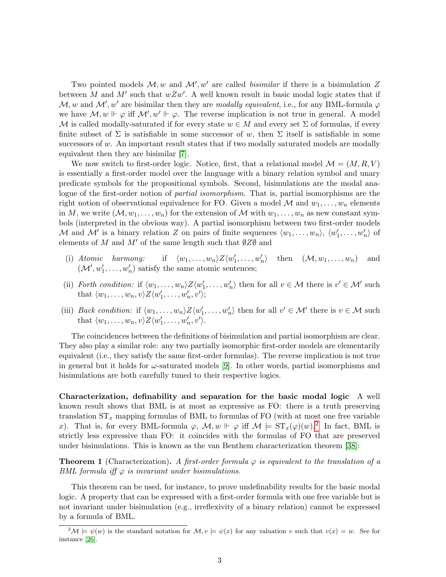Two pointed models  $M, w$  and  $M', w'$  are called *bisimilar* if there is a bisimulation Z between M and M' such that  $wZw'$ . A well known result in basic modal logic states that if M, w and M', w' are bisimilar then they are modally equivalent, i.e., for any BML-formula  $\varphi$ we have  $\mathcal{M}, w \Vdash \varphi$  iff  $\mathcal{M}', w' \Vdash \varphi$ . The reverse implication is not true in general. A model M is called modally-saturated if for every state  $w \in M$  and every set  $\Sigma$  of formulas, if every finite subset of  $\Sigma$  is satisfiable in some successor of w, then  $\Sigma$  itself is satisfiable in some successors of  $w$ . An important result states that if two modally saturated models are modally equivalent then they are bisimilar [\[7\]](#page-21-0).

We now switch to first-order logic. Notice, first, that a relational model  $\mathcal{M} = (M, R, V)$ is essentially a first-order model over the language with a binary relation symbol and unary predicate symbols for the propositional symbols. Second, bisimulations are the modal analogue of the first-order notion of partial isomorphism. That is, partial isomorphisms are the right notion of observational equivalence for FO. Given a model  $M$  and  $w_1, \ldots, w_n$  elements in M, we write  $(\mathcal{M}, w_1, \ldots, w_n)$  for the extension of M with  $w_1, \ldots, w_n$  as new constant symbols (interpreted in the obvious way). A partial isomorphism between two first-order models M and M' is a binary relation Z on pairs of finite sequences  $\langle w_1, \ldots, w_n \rangle$ ,  $\langle w'_1, \ldots, w'_n \rangle$  of elements of M and M' of the same length such that  $\emptyset Z\emptyset$  and

- (i) Atomic harmony: if  $\langle w_1, \ldots, w_n \rangle Z \langle w'_1, \ldots, w'_n \rangle$  then  $(\mathcal{M}, w_1, \ldots, w_n)$  and  $(\mathcal{M}', w'_1, \ldots, w'_n)$  satisfy the same atomic sentences;
- (ii) Forth condition: if  $\langle w_1, \ldots, w_n \rangle Z \langle w'_1, \ldots, w'_n \rangle$  then for all  $v \in \mathcal{M}$  there is  $v' \in \mathcal{M}'$  such that  $\langle w_1, \ldots, w_n, v \rangle Z \langle w'_1, \ldots, w'_n, v' \rangle;$
- (iii) *Back condition:* if  $\langle w_1, \ldots, w_n \rangle Z \langle w'_1, \ldots, w'_n \rangle$  then for all  $v' \in \mathcal{M}'$  there is  $v \in \mathcal{M}$  such that  $\langle w_1, \ldots, w_n, v \rangle Z \langle w'_1, \ldots, w'_n, v' \rangle$ .

The coincidences between the definitions of bisimulation and partial isomorphism are clear. They also play a similar role: any two partially isomorphic first-order models are elementarily equivalent (i.e., they satisfy the same first-order formulas). The reverse implication is not true in general but it holds for  $\omega$ -saturated models [\[9\]](#page-21-4). In other words, partial isomorphisms and bisimulations are both carefully tuned to their respective logics.

Characterization, definability and separation for the basic modal logic A well known result shows that BML is at most as expressive as FO: there is a truth preserving translation  $ST_x$  mapping formulas of BML to formulas of FO (with at most one free variable x). That is, for every BML-formula  $\varphi$ ,  $\mathcal{M}, w \Vdash \varphi$  iff  $\mathcal{M} \models ST_x(\varphi)(w)$ .<sup>[2](#page-2-0)</sup> In fact, BML is strictly less expressive than FO: it coincides with the formulas of FO that are preserved under bisimulations. This is known as the van Benthem characterization theorem [\[38\]](#page-23-0):

**Theorem 1** (Characterization). A first-order formula  $\varphi$  is equivalent to the translation of a BML formula iff  $\varphi$  is invariant under bisimulations.

This theorem can be used, for instance, to prove undefinability results for the basic modal logic. A property that can be expressed with a first-order formula with one free variable but is not invariant under bisimulation (e.g., irreflexivity of a binary relation) cannot be expressed by a formula of BML.

<span id="page-2-0"></span> $^{2}\mathcal{M} \models \psi(w)$  is the standard notation for  $\mathcal{M}, v \models \psi(x)$  for any valuation v such that  $v(x) = w$ . See for instance [\[26\]](#page-22-1).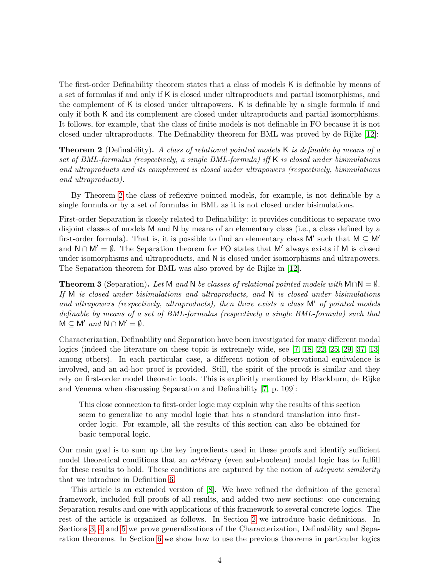The first-order Definability theorem states that a class of models K is definable by means of a set of formulas if and only if K is closed under ultraproducts and partial isomorphisms, and the complement of K is closed under ultrapowers. K is definable by a single formula if and only if both K and its complement are closed under ultraproducts and partial isomorphisms. It follows, for example, that the class of finite models is not definable in FO because it is not closed under ultraproducts. The Definability theorem for BML was proved by de Rijke [\[12\]](#page-21-5):

<span id="page-3-0"></span>**Theorem 2** (Definability). A class of relational pointed models K is definable by means of a set of BML-formulas (respectively, a single BML-formula) iff K is closed under bisimulations and ultraproducts and its complement is closed under ultrapowers (respectively, bisimulations and ultraproducts).

By Theorem [2](#page-3-0) the class of reflexive pointed models, for example, is not definable by a single formula or by a set of formulas in BML as it is not closed under bisimulations.

First-order Separation is closely related to Definability: it provides conditions to separate two disjoint classes of models M and N by means of an elementary class (i.e., a class defined by a first-order formula). That is, it is possible to find an elementary class  $M'$  such that  $M \subseteq M'$ and  $N \cap M' = \emptyset$ . The Separation theorem for FO states that M' always exists if M is closed under isomorphisms and ultraproducts, and N is closed under isomorphisms and ultrapowers. The Separation theorem for BML was also proved by de Rijke in [\[12\]](#page-21-5).

**Theorem 3** (Separation). Let M and N be classes of relational pointed models with  $M \cap N = \emptyset$ . If M is closed under bisimulations and ultraproducts, and N is closed under bisimulations and ultrapowers (respectively, ultraproducts), then there exists a class  $M'$  of pointed models definable by means of a set of BML-formulas (respectively a single BML-formula) such that  $M \subseteq M'$  and  $N \cap M' = \emptyset$ .

Characterization, Definability and Separation have been investigated for many different modal logics (indeed the literature on these topic is extremely wide, see [\[7,](#page-21-0) [18,](#page-21-6) [22,](#page-22-2) [25,](#page-22-3) [29,](#page-22-4) [37,](#page-23-1) [13\]](#page-21-7) among others). In each particular case, a different notion of observational equivalence is involved, and an ad-hoc proof is provided. Still, the spirit of the proofs is similar and they rely on first-order model theoretic tools. This is explicitly mentioned by Blackburn, de Rijke and Venema when discussing Separation and Definability [\[7,](#page-21-0) p. 109]:

This close connection to first-order logic may explain why the results of this section seem to generalize to any modal logic that has a standard translation into firstorder logic. For example, all the results of this section can also be obtained for basic temporal logic.

Our main goal is to sum up the key ingredients used in these proofs and identify sufficient model theoretical conditions that an *arbitrary* (even sub-boolean) modal logic has to fulfill for these results to hold. These conditions are captured by the notion of *adequate similarity* that we introduce in Definition [6.](#page-6-0)

This article is an extended version of [\[8\]](#page-21-8). We have refined the definition of the general framework, included full proofs of all results, and added two new sections: one concerning Separation results and one with applications of this framework to several concrete logics. The rest of the article is organized as follows. In Section [2](#page-4-0) we introduce basic definitions. In Sections [3,](#page-6-1) [4](#page-10-0) and [5](#page-13-0) we prove generalizations of the Characterization, Definability and Separation theorems. In Section [6](#page-14-0) we show how to use the previous theorems in particular logics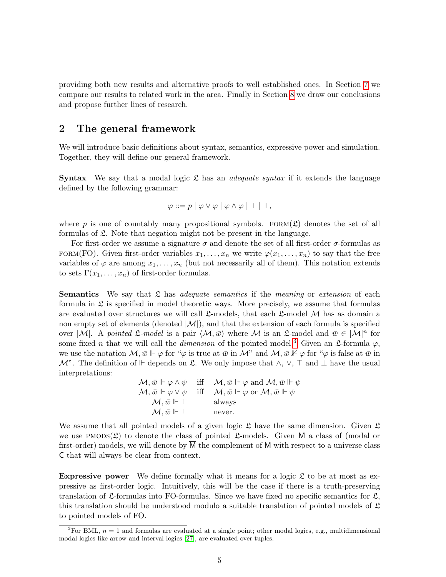providing both new results and alternative proofs to well established ones. In Section [7](#page-19-0) we compare our results to related work in the area. Finally in Section [8](#page-19-1) we draw our conclusions and propose further lines of research.

# <span id="page-4-0"></span>2 The general framework

We will introduce basic definitions about syntax, semantics, expressive power and simulation. Together, they will define our general framework.

**Syntax** We say that a modal logic  $\mathfrak L$  has an *adequate syntax* if it extends the language defined by the following grammar:

$$
\varphi ::= p | \varphi \vee \varphi | \varphi \wedge \varphi | \top | \bot,
$$

where p is one of countably many propositional symbols. FORM( $\mathfrak{L}$ ) denotes the set of all formulas of  $\mathfrak{L}$ . Note that negation might not be present in the language.

For first-order we assume a signature  $\sigma$  and denote the set of all first-order  $\sigma$ -formulas as FORM(FO). Given first-order variables  $x_1, \ldots, x_n$  we write  $\varphi(x_1, \ldots, x_n)$  to say that the free variables of  $\varphi$  are among  $x_1, \ldots, x_n$  (but not necessarily all of them). This notation extends to sets  $\Gamma(x_1,\ldots,x_n)$  of first-order formulas.

**Semantics** We say that  $\mathfrak L$  has *adequate semantics* if the *meaning* or *extension* of each formula in  $\mathfrak L$  is specified in model theoretic ways. More precisely, we assume that formulas are evaluated over structures we will call  $\mathfrak{L}\text{-models}$ , that each  $\mathfrak{L}\text{-model}$  M has as domain a non empty set of elements (denoted  $|\mathcal{M}|$ ), and that the extension of each formula is specified over |M|. A pointed  $\mathfrak{L}\text{-model}$  is a pair  $\langle \mathcal{M}, \bar{w} \rangle$  where M is an  $\mathfrak{L}\text{-model}$  and  $\bar{w} \in |\mathcal{M}|^n$  for some fixed *n* that we will call the *dimension* of the pointed model.<sup>[3](#page-4-1)</sup> Given an £-formula  $\varphi$ , we use the notation  $\mathcal{M}, \bar{w} \Vdash \varphi$  for " $\varphi$  is true at  $\bar{w}$  in  $\mathcal{M}$ " and  $\mathcal{M}, \bar{w} \nvDash \varphi$  for " $\varphi$  is false at  $\bar{w}$  in  $\mathcal{M}$ ". The definition of  $\vdash$  depends on  $\mathfrak{L}$ . We only impose that  $\wedge$ ,  $\vee$ ,  $\top$  and  $\bot$  have the usual interpretations:

> $\mathcal{M}, \bar{w} \Vdash \varphi \wedge \psi \quad \text{iff} \quad \mathcal{M}, \bar{w} \Vdash \varphi \text{ and } \mathcal{M}, \bar{w} \Vdash \psi$  $\mathcal{M}, \bar{w} \Vdash \varphi \vee \psi$  iff  $\mathcal{M}, \bar{w} \Vdash \varphi$  or  $\mathcal{M}, \bar{w} \Vdash \psi$  $\mathcal{M}, \bar{w} \Vdash \top$  always  $\mathcal{M}, \bar{w} \Vdash \bot$  never.

We assume that all pointed models of a given logic  $\mathfrak L$  have the same dimension. Given  $\mathfrak L$ we use PMODS( $\mathfrak{L}$ ) to denote the class of pointed  $\mathfrak{L}$ -models. Given M a class of (modal or first-order) models, we will denote by M the complement of M with respect to a universe class C that will always be clear from context.

**Expressive power** We define formally what it means for a logic  $\mathfrak{L}$  to be at most as expressive as first-order logic. Intuitively, this will be the case if there is a truth-preserving translation of  $\mathfrak{L}$ -formulas into FO-formulas. Since we have fixed no specific semantics for  $\mathfrak{L}$ , this translation should be understood modulo a suitable translation of pointed models of  $\mathfrak L$ to pointed models of FO.

<span id="page-4-1"></span><sup>&</sup>lt;sup>3</sup>For BML,  $n = 1$  and formulas are evaluated at a single point; other modal logics, e.g., multidimensional modal logics like arrow and interval logics [\[27\]](#page-22-5), are evaluated over tuples.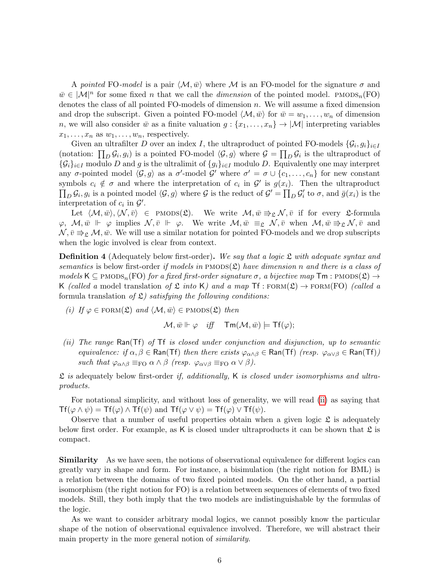A pointed FO-model is a pair  $\langle M, \bar{w} \rangle$  where M is an FO-model for the signature  $\sigma$  and  $\bar{w} \in |\mathcal{M}|^n$  for some fixed *n* that we call the *dimension* of the pointed model. PMODS<sub>n</sub>(FO) denotes the class of all pointed FO-models of dimension  $n$ . We will assume a fixed dimension and drop the subscript. Given a pointed FO-model  $\langle \mathcal{M}, \bar{w} \rangle$  for  $\bar{w} = w_1, \dots, w_n$  of dimension n, we will also consider  $\bar{w}$  as a finite valuation  $g : \{x_1, \ldots, x_n\} \to |\mathcal{M}|$  interpreting variables  $x_1, \ldots, x_n$  as  $w_1, \ldots, w_n$ , respectively.

Given an ultrafilter D over an index I, the ultraproduct of pointed FO-models  $\{\mathcal{G}_i, g_i\}_{i\in I}$ (notation:  $\prod_D \mathcal{G}_i, g_i$ ) is a pointed FO-model  $\langle \mathcal{G}, g \rangle$  where  $\mathcal{G} = \prod_D \mathcal{G}_i$  is the ultraproduct of  $\{\mathcal{G}_i\}_{i\in I}$  modulo D and g is the ultralimit of  $\{g_i\}_{i\in I}$  modulo D. Equivalently one may interpret any  $\sigma$ -pointed model  $\langle \mathcal{G}, g \rangle$  as a  $\sigma'$ -model  $\mathcal{G}'$  where  $\sigma' = \sigma \cup \{c_1, \ldots, c_n\}$  for new constant symbols  $c_i \notin \sigma$  and where the interpretation of  $c_i$  in  $\mathcal{G}'$  is  $g(x_i)$ . Then the ultraproduct  $\prod_D \mathcal{G}_i, g_i$  is a pointed model  $\langle \mathcal{G}, g \rangle$  where  $\mathcal{G}$  is the reduct of  $\mathcal{G}' = \prod_D \mathcal{G}'_i$  to  $\sigma$ , and  $\bar{g}(x_i)$  is the interpretation of  $c_i$  in  $\mathcal{G}'$ .

Let  $\langle M, \bar{w}\rangle, \langle N, \bar{v}\rangle \in \text{PMODs}(\mathfrak{L}).$  We write  $M, \bar{w} \Rrightarrow_{\mathfrak{L}} N, \bar{v}$  if for every L-formula  $\varphi, \mathcal{M}, \bar{w} \Vdash \varphi$  implies  $\mathcal{N}, \bar{v} \Vdash \varphi$ . We write  $\mathcal{M}, \bar{w} \equiv_{\mathfrak{L}} \mathcal{N}, \bar{v}$  when  $\mathcal{M}, \bar{w} \Rightarrow_{\mathfrak{L}} \mathcal{N}, \bar{v}$  and  $\mathcal{N}, \bar{v} \Rightarrow_{\mathfrak{L}} \mathcal{M}, \bar{w}$ . We will use a similar notation for pointed FO-models and we drop subscripts when the logic involved is clear from context.

<span id="page-5-0"></span>**Definition 4** (Adequately below first-order). We say that a logic  $\mathfrak L$  with adequate syntax and semantics is below first-order if models in  $P$ MODS( $\mathfrak{L}$ ) have dimension n and there is a class of models K  $\subseteq$  PMODS<sub>n</sub>(FO) for a fixed first-order signature  $\sigma$ , a bijective map  $\mathsf{Tm}$  : PMODS( $\mathfrak{L}$ )  $\rightarrow$ K (called a model translation of  $\mathfrak L$  into K) and a map Tf : FORM( $\mathfrak L$ )  $\rightarrow$  FORM(FO) (called a formula translation of  $\mathfrak{L}$ ) satisfying the following conditions:

(i) If  $\varphi \in \text{FORM}(\mathfrak{L})$  and  $\langle \mathcal{M}, \bar{w} \rangle \in \text{PMODS}(\mathfrak{L})$  then

$$
\mathcal{M}, \bar{w} \Vdash \varphi \quad \text{iff} \quad \mathsf{Tm}(\mathcal{M}, \bar{w}) \models \mathsf{Tf}(\varphi);
$$

<span id="page-5-1"></span>(ii) The range Ran(Tf) of Tf is closed under conjunction and disjunction, up to semantic equivalence: if  $\alpha, \beta \in \text{Ran(Tf)}$  then there exists  $\varphi_{\alpha \wedge \beta} \in \text{Ran(Tf)}$  (resp.  $\varphi_{\alpha \vee \beta} \in \text{Ran(Tf)}$ ) such that  $\varphi_{\alpha\wedge\beta} \equiv_{\text{FO}} \alpha \wedge \beta$  (resp.  $\varphi_{\alpha\vee\beta} \equiv_{\text{FO}} \alpha \vee \beta$ ).

 $\mathfrak L$  is adequately below first-order if, additionally, K is closed under isomorphisms and ultraproducts.

For notational simplicity, and without loss of generality, we will read [\(ii\)](#page-5-1) as saying that  $\mathsf{Tf}(\varphi \wedge \psi) = \mathsf{Tf}(\varphi) \wedge \mathsf{Tf}(\psi)$  and  $\mathsf{Tf}(\varphi \vee \psi) = \mathsf{Tf}(\varphi) \vee \mathsf{Tf}(\psi)$ .

Observe that a number of useful properties obtain when a given logic  $\mathfrak L$  is adequately below first order. For example, as K is closed under ultraproducts it can be shown that  $\mathfrak L$  is compact.

Similarity As we have seen, the notions of observational equivalence for different logics can greatly vary in shape and form. For instance, a bisimulation (the right notion for BML) is a relation between the domains of two fixed pointed models. On the other hand, a partial isomorphism (the right notion for FO) is a relation between sequences of elements of two fixed models. Still, they both imply that the two models are indistinguishable by the formulas of the logic.

As we want to consider arbitrary modal logics, we cannot possibly know the particular shape of the notion of observational equivalence involved. Therefore, we will abstract their main property in the more general notion of similarity.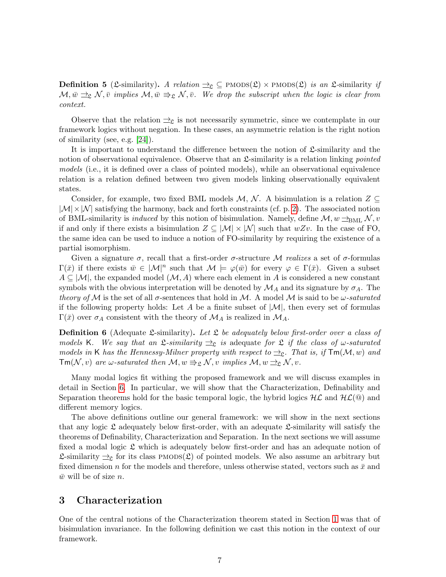**Definition 5** (L-similarity). A relation  $\exists \underline{c} \subseteq \text{PMODS}(\underline{\mathcal{L}}) \times \text{PMODS}(\underline{\mathcal{L}})$  is an L-similarity if  $\mathcal{M}, \bar{w} \rightrightarrows_{\mathfrak{L}} \mathcal{N}, \bar{v}$  implies  $\mathcal{M}, \bar{w} \rightrightarrows_{\mathfrak{L}} \mathcal{N}, \bar{v}$ . We drop the subscript when the logic is clear from context.

Observe that the relation  $\exists_{\mathfrak{L}}$  is not necessarily symmetric, since we contemplate in our framework logics without negation. In these cases, an asymmetric relation is the right notion of similarity (see, e.g. [\[24\]](#page-22-6)).

It is important to understand the difference between the notion of  $\mathfrak{L}$ -similarity and the notion of observational equivalence. Observe that an  $\mathfrak{L}$ -similarity is a relation linking *pointed* models (i.e., it is defined over a class of pointed models), while an observational equivalence relation is a relation defined between two given models linking observationally equivalent states.

Consider, for example, two fixed BML models  $M, N$ . A bisimulation is a relation  $Z \subseteq$  $|\mathcal{M}| \times |\mathcal{N}|$  satisfying the harmony, back and forth constraints (cf. p. [2\)](#page-1-1). The associated notion of BML-similarity is *induced* by this notion of bisimulation. Namely, define  $\mathcal{M}, w \rightharpoonup_{BML} \mathcal{N}, v$ if and only if there exists a bisimulation  $Z \subseteq |\mathcal{M}| \times |\mathcal{N}|$  such that  $wZv$ . In the case of FO, the same idea can be used to induce a notion of FO-similarity by requiring the existence of a partial isomorphism.

Given a signature  $\sigma$ , recall that a first-order  $\sigma$ -structure M realizes a set of  $\sigma$ -formulas  $\Gamma(\bar{x})$  if there exists  $\bar{w} \in |\mathcal{M}|^n$  such that  $\mathcal{M} \models \varphi(\bar{w})$  for every  $\varphi \in \Gamma(\bar{x})$ . Given a subset  $A \subseteq |{\cal M}|$ , the expanded model  $({\cal M}, A)$  where each element in A is considered a new constant symbols with the obvious interpretation will be denoted by  $\mathcal{M}_A$  and its signature by  $\sigma_A$ . The theory of M is the set of all  $\sigma$ -sentences that hold in M. A model M is said to be  $\omega$ -saturated if the following property holds: Let A be a finite subset of  $|M|$ , then every set of formulas  $\Gamma(\bar{x})$  over  $\sigma_A$  consistent with the theory of  $\mathcal{M}_A$  is realized in  $\mathcal{M}_A$ .

<span id="page-6-0"></span>**Definition 6** (Adequate *L*-similarity). Let *L* be adequately below first-order over a class of models K. We say that an  $\mathfrak{L}\text{-}similarity \geq_{\mathfrak{L}}$  is adequate for  $\mathfrak{L}$  if the class of  $\omega$ -saturated models in K has the Hennessy-Milner property with respect to  $\Rightarrow_{\mathcal{L}}$ . That is, if  $\mathsf{Tm}(\mathcal{M}, w)$  and  $\mathsf{Tm}(\mathcal{N}, v)$  are  $\omega$ -saturated then  $\mathcal{M}, w \Rightarrow_{\mathfrak{L}} \mathcal{N}, v$  implies  $\mathcal{M}, w \rightarrow_{\mathfrak{L}} \mathcal{N}, v$ .

Many modal logics fit withing the proposed framework and we will discuss examples in detail in Section [6.](#page-14-0) In particular, we will show that the Characterization, Definability and Separation theorems hold for the basic temporal logic, the hybrid logics  $H\mathcal{L}$  and  $H\mathcal{L}(\mathcal{Q})$  and different memory logics.

The above definitions outline our general framework: we will show in the next sections that any logic  $\mathfrak L$  adequately below first-order, with an adequate  $\mathfrak L$ -similarity will satisfy the theorems of Definability, Characterization and Separation. In the next sections we will assume fixed a modal logic  $\mathfrak L$  which is adequately below first-order and has an adequate notion of £-similarity  $\pm$ <sub>2</sub> for its class PMODS(*2*) of pointed models. We also assume an arbitrary but fixed dimension n for the models and therefore, unless otherwise stated, vectors such as  $\bar{x}$  and  $\bar{w}$  will be of size n.

# <span id="page-6-1"></span>3 Characterization

One of the central notions of the Characterization theorem stated in Section [1](#page-0-0) was that of bisimulation invariance. In the following definition we cast this notion in the context of our framework.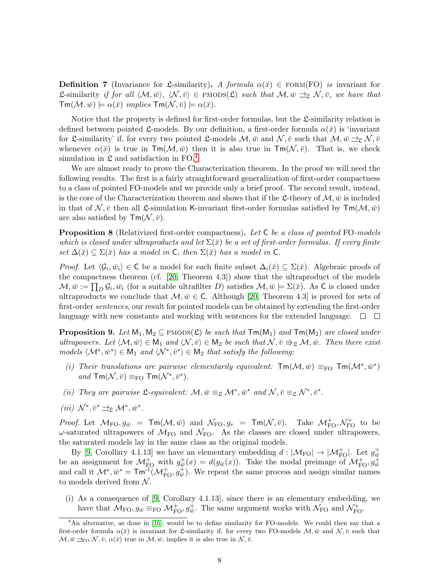**Definition 7** (Invariance for L-similarity). A formula  $\alpha(\bar{x}) \in FORM(FO)$  is invariant for **L**-similarity if for all  $\langle \mathcal{M}, \bar{w} \rangle$ ,  $\langle \mathcal{N}, \bar{v} \rangle \in \text{PMODS}(\mathfrak{L})$  such that  $\mathcal{M}, \bar{w} \implies \mathcal{N}, \bar{v}$ , we have that  $\mathsf{Tm}(\mathcal{M}, \bar{w}) \models \alpha(\bar{x}) \implies \mathsf{implies} \mathsf{Tm}(\mathcal{N}, \bar{v}) \models \alpha(\bar{x}).$ 

Notice that the property is defined for first-order formulas, but the  $\mathfrak{L}$ -similarity relation is defined between pointed £-models. By our definition, a first-order formula  $\alpha(\bar{x})$  is 'invariant for L-similarity' if, for every two pointed L-models  $\mathcal{M}, \bar{w}$  and  $\mathcal{N}, \bar{v}$  such that  $\mathcal{M}, \bar{w} \rightrightarrows_{\mathcal{L}} \mathcal{N}, \bar{v}$ whenever  $\alpha(\bar{x})$  is true in Tm( $\mathcal{M}, \bar{w}$ ) then it is also true in Tm( $\mathcal{N}, \bar{v}$ ). That is, we check simulation in  $\mathfrak{L}$  and satisfaction in FO.<sup>[4](#page-7-0)</sup>

We are almost ready to prove the Characterization theorem. In the proof we will need the following results. The first is a fairly straightforward generalization of first-order compactness to a class of pointed FO-models and we provide only a brief proof. The second result, instead, is the core of the Characterization theorem and shows that if the L-theory of  $\mathcal{M}, \bar{w}$  is included in that of  $\mathcal{N}, \bar{v}$  then all  $\mathcal{L}$ -simulation K-invariant first-order formulas satisfied by  $\mathsf{Tm}(\mathcal{M}, \bar{w})$ are also satisfied by  $\mathsf{Tm}(\mathcal{N}, \bar{v})$ .

<span id="page-7-2"></span>**Proposition 8** (Relativized first-order compactness). Let C be a class of pointed FO-models which is closed under ultraproducts and let  $\Sigma(\bar{x})$  be a set of first-order formulas. If every finite set  $\Delta(\bar{x}) \subseteq \Sigma(\bar{x})$  has a model in C, then  $\Sigma(\bar{x})$  has a model in C.

*Proof.* Let  $\langle \mathcal{G}_i, \bar{w}_i \rangle \in \mathsf{C}$  be a model for each finite subset  $\Delta_i(\bar{x}) \subseteq \Sigma(\bar{x})$ . Algebraic proofs of the compactness theorem (cf. [\[20,](#page-22-7) Theorem 4.3]) show that the ultraproduct of the models  $\mathcal{M}, \bar{w} := \prod_D \mathcal{G}_i, \bar{w}_i$  (for a suitable ultrafilter D) satisfies  $\mathcal{M}, \bar{w} \models \Sigma(\bar{x})$ . As C is closed under ultraproducts we conclude that  $\mathcal{M}, \bar{w} \in \mathsf{C}$ . Although [\[20,](#page-22-7) Theorem 4.3] is proved for sets of first-order *sentences*, our result for pointed models can be obtained by extending the first-order language with new constants and working with sentences for the extended language.  $\Box$ 

<span id="page-7-1"></span>**Proposition 9.** Let  $M_1, M_2 \subseteq P \text{MODS}(\mathfrak{L})$  be such that  $Tm(M_1)$  and  $Tm(M_2)$  are closed under ultrapowers. Let  $\langle \mathcal{M}, \bar{w} \rangle \in M_1$  and  $\langle \mathcal{N}, \bar{v} \rangle \in M_2$  be such that  $\mathcal{N}, \bar{v} \Rightarrow_{\mathfrak{L}} \mathcal{M}, \bar{w}$ . Then there exist models  $\langle \mathcal{M}^*, \bar{w}^* \rangle \in M_1$  and  $\langle \mathcal{N}^*, \bar{v}^* \rangle \in M_2$  that satisfy the following:

- (i) Their translations are pairwise elementarily equivalent:  $\textsf{Tm}(\mathcal{M},\bar{w}) \equiv_{\text{FO}} \textsf{Tm}(\mathcal{M}^*,\bar{w}^*)$ and  $\mathsf{Tm}(\mathcal{N}, \bar{v}) \equiv_{\mathrm{FO}} \mathsf{Tm}(\mathcal{N}^*, \bar{v}^*).$
- (ii) They are pairwise  $\mathfrak{L}$ -equivalent:  $\mathcal{M}, \bar{w} \equiv_{\mathfrak{L}} \mathcal{M}^*, \bar{w}^*$  and  $\mathcal{N}, \bar{v} \equiv_{\mathfrak{L}} \mathcal{N}^*, \bar{v}^*.$
- (iii)  $\mathcal{N}^*, \bar{v}^* \rightrightarrows_{\mathfrak{L}} \mathcal{M}^*, \bar{w}^*.$

*Proof.* Let  $M_{\text{FO}}, g_{\bar{w}} = \text{Tr}(M, \bar{w})$  and  $\mathcal{N}_{\text{FO}}, g_v = \text{Tr}(M, \bar{v})$ . Take  $\mathcal{M}_{\text{FO}}^+, \mathcal{N}_{\text{FO}}^+$  to be  $\omega$ -saturated ultrapowers of  $\mathcal{M}_{FO}$  and  $\mathcal{N}_{FO}$ . As the classes are closed under ultrapowers, the saturated models lay in the same class as the original models.

By [\[9,](#page-21-4) Corollary 4.1.13] we have an elementary embedding  $d:|\mathcal{M}_{\text{FO}}| \to |\mathcal{M}_{\text{FO}}^+|$ . Let  $g_{\bar{w}}^+$ be an assignment for  $\mathcal{M}_{\text{FO}}^+$  with  $g_{\bar{w}}^+(x) = d(g_{\bar{w}}(x))$ . Take the modal preimage of  $\mathcal{M}_{\text{FO}}^+$ ,  $g_{\bar{w}}^+$  and call it  $\mathcal{M}^*, \bar{w}^* = \textsf{Tm}^{-1}(\mathcal{M}_{\text{FO}}^+, g_{\bar{w}}^+)$ . We repeat the same process and as to models derived from  $N$ .

(i) As a consequence of [\[9,](#page-21-4) Corollary 4.1.13], since there is an elementary embedding, we have that  $\mathcal{M}_{\text{FO}}, g_{\bar{w}} \equiv_{\text{FO}} \mathcal{M}_{\text{FO}}^+$ ,  $g_{\bar{w}}^+$ . The same argument works with  $\mathcal{N}_{\text{FO}}$  and  $\mathcal{N}_{\text{FO}}^+$ .

<span id="page-7-0"></span><sup>&</sup>lt;sup>4</sup>An alternative, as done in [\[16\]](#page-21-9), would be to define similarity for FO-models. We could then say that a first-order formula  $\alpha(\bar{x})$  is invariant for L-similarity if, for every two FO-models  $\mathcal{M}, \bar{w}$  and  $\mathcal{N}, \bar{v}$  such that  $\mathcal{M}, \bar{w} \rightrightarrows_{\text{FO}} \mathcal{N}, \bar{v}, \alpha(\bar{x})$  true in  $\mathcal{M}, \bar{w}$ , implies it is also true in  $\mathcal{N}, \bar{v}$ .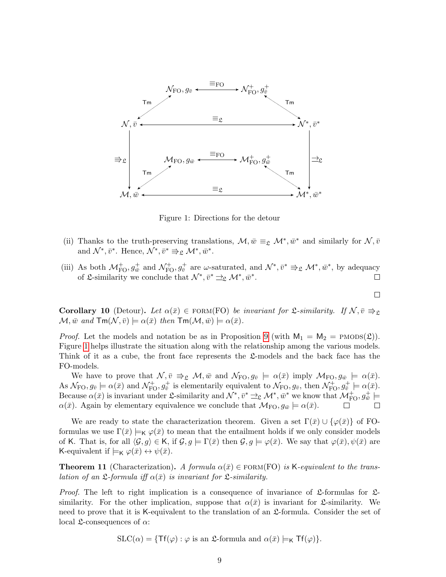

<span id="page-8-0"></span>Figure 1: Directions for the detour

- (ii) Thanks to the truth-preserving translations,  $\mathcal{M}, \bar{w} \equiv_{\mathfrak{L}} \mathcal{M}^*, \bar{w}^*$  and similarly for  $\mathcal{N}, \bar{v}$ and  $\mathcal{N}^*, \bar{v}^*$ . Hence,  $\mathcal{N}^*, \bar{v}^* \Rrightarrow_{\mathfrak{L}} \mathcal{M}^*, \bar{w}^*$ .
- (iii) As both  $\mathcal{M}_{\text{FO}}^+$ ,  $g_{\bar{w}}^+$  and  $\mathcal{N}_{\text{FO}}^+$ ,  $g_{\bar{v}}^+$  are  $\omega$ -saturated, and  $\mathcal{N}^*, \bar{v}^* \Rightarrow_{\mathfrak{L}} \mathcal{M}^*, \bar{w}^*$ , by adequacy of £-similarity we conclude that  $\mathcal{N}^*, \bar{v}^* \rightrightarrows_{\mathfrak{L}} \mathcal{M}^*, \bar{w}^*.$

 $\Box$ 

<span id="page-8-1"></span>**Corollary 10** (Detour). Let  $\alpha(\bar{x}) \in \text{FORM(FO)}$  be invariant for  $\mathcal{L}$ -similarity. If  $\mathcal{N}, \bar{v} \Rightarrow_{\mathcal{L}}$  $\mathcal{M}, \bar{w}$  and  $\mathsf{Tm}(\mathcal{N}, \bar{v}) \models \alpha(\bar{x})$  then  $\mathsf{Tm}(\mathcal{M}, \bar{w}) \models \alpha(\bar{x})$ .

*Proof.* Let the models and notation be as in Proposition [9](#page-7-1) (with  $M_1 = M_2 = \text{PMODS}(\mathfrak{L})$ ). Figure [1](#page-8-0) helps illustrate the situation along with the relationship among the various models. Think of it as a cube, the front face represents the  $\mathfrak{L}$ -models and the back face has the FO-models.

We have to prove that  $\mathcal{N}, \bar{v} \Rightarrow_{\mathfrak{L}} \mathcal{M}, \bar{w}$  and  $\mathcal{N}_{FO}, g_{\bar{v}} \models \alpha(\bar{x})$  imply  $\mathcal{M}_{FO}, g_{\bar{w}} \models \alpha(\bar{x})$ . As  $\mathcal{N}_{\text{FO}}, g_{\bar{v}} \models \alpha(\bar{x})$  and  $\mathcal{N}_{\text{FO}}^+, g_{\bar{v}}^+$  is elementarily equivalent to  $\mathcal{N}_{\text{FO}}, g_{\bar{v}},$  then  $\mathcal{N}_{\text{FO}}^+, g_{\bar{v}}^+ \models \alpha(\bar{x})$ . Because  $\alpha(\bar{x})$  is invariant under  $\mathfrak{L}$ -similarity and  $\mathcal{N}^*, \bar{v}^* \to_{\mathfrak{L}} \mathcal{M}^*, \bar{w}^*$  we know that  $\mathcal{M}_{\text{FO}}^+, g^+_{\bar{w}} \models$  $\alpha(\bar{x})$ . Again by elementary equivalence we conclude that  $\mathcal{M}_{\text{FO}}$ ,  $g_{\bar{w}} \models \alpha(\bar{x})$ .

We are ready to state the characterization theorem. Given a set  $\Gamma(\bar{x}) \cup {\varphi(\bar{x})}$  of FOformulas we use  $\Gamma(\bar{x}) \models_K \varphi(\bar{x})$  to mean that the entailment holds if we only consider models of K. That is, for all  $\langle \mathcal{G}, g \rangle \in \mathsf{K}$ , if  $\mathcal{G}, g \models \Gamma(\bar{x})$  then  $\mathcal{G}, g \models \varphi(\bar{x})$ . We say that  $\varphi(\bar{x}), \psi(\bar{x})$  are K-equivalent if  $\models_K \varphi(\bar{x}) \leftrightarrow \psi(\bar{x})$ .

<span id="page-8-2"></span>**Theorem 11** (Characterization). A formula  $\alpha(\bar{x}) \in \text{FORM(FO)}$  is K-equivalent to the translation of an  $\mathfrak{L}$ -formula iff  $\alpha(\bar{x})$  is invariant for  $\mathfrak{L}$ -similarity.

*Proof.* The left to right implication is a consequence of invariance of  $\mathfrak{L}$ -formulas for  $\mathfrak{L}$ similarity. For the other implication, suppose that  $\alpha(\bar{x})$  is invariant for *L*-similarity. We need to prove that it is K-equivalent to the translation of an L-formula. Consider the set of local  $\mathfrak{L}$ -consequences of  $\alpha$ :

$$
SLC(\alpha) = \{ \text{Tf}(\varphi) : \varphi \text{ is an } \mathfrak{L}\text{-formula and } \alpha(\bar{x}) \models_K \text{Tf}(\varphi) \}.
$$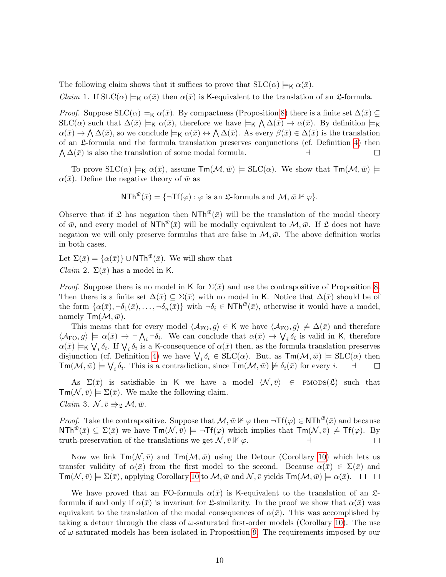The following claim shows that it suffices to prove that  $SLC(\alpha) \models_K \alpha(\bar{x})$ .

*Claim* 1. If  $SLC(\alpha) \models_K \alpha(\bar{x})$  then  $\alpha(\bar{x})$  is K-equivalent to the translation of an  $\mathfrak{L}$ -formula.

*Proof.* Suppose  $SLC(\alpha) \models_K \alpha(\bar{x})$ . By compactness (Proposition [8\)](#page-7-2) there is a finite set  $\Delta(\bar{x}) \subseteq$  $SLC(\alpha)$  such that  $\Delta(\bar{x}) \models_K \alpha(\bar{x})$ , therefore we have  $\models_K \bigwedge \Delta(\bar{x}) \rightarrow \alpha(\bar{x})$ . By definition  $\models_K$  $\alpha(\bar{x}) \to \bigwedge \Delta(\bar{x})$ , so we conclude  $\models_K \alpha(\bar{x}) \leftrightarrow \bigwedge \Delta(\bar{x})$ . As every  $\beta(\bar{x}) \in \Delta(\bar{x})$  is the translation of an L-formula and the formula translation preserves conjunctions (cf. Definition [4\)](#page-5-0) then  $\Lambda \Delta(\bar{x})$  is also the translation of some modal formula.  $\Box$ 

To prove  $SLC(\alpha) \models_K \alpha(\bar{x})$ , assume  $\text{Tr}(\mathcal{M}, \bar{w}) \models SLC(\alpha)$ . We show that  $\text{Tr}(\mathcal{M}, \bar{w}) \models$  $\alpha(\bar{x})$ . Define the negative theory of  $\bar{w}$  as

$$
\mathsf{NTh}^{\bar{w}}(\bar{x}) = \{\neg \mathsf{Tf}(\varphi) : \varphi \text{ is an } \mathfrak{L}\text{-formula and } \mathcal{M}, \bar{w} \nVdash \varphi\}.
$$

Observe that if  $\mathfrak L$  has negation then NTh<sup> $\bar w(\bar x)$ </sup> will be the translation of the modal theory of  $\bar{w}$ , and every model of NTh<sup> $\bar{w}(\bar{x})$ </sup> will be modally equivalent to  $\mathcal{M}, \bar{w}$ . If  $\mathfrak L$  does not have negation we will only preserve formulas that are false in  $\mathcal{M}, \bar{w}$ . The above definition works in both cases.

Let  $\Sigma(\bar{x}) = {\alpha(\bar{x})} \cup \text{NTh}^{\bar{w}}(\bar{x})$ . We will show that *Claim* 2.  $\Sigma(\bar{x})$  has a model in K.

*Proof.* Suppose there is no model in K for  $\Sigma(\bar{x})$  and use the contrapositive of Proposition [8.](#page-7-2) Then there is a finite set  $\Delta(\bar{x}) \subseteq \Sigma(\bar{x})$  with no model in K. Notice that  $\Delta(\bar{x})$  should be of the form  $\{\alpha(\bar{x}), \neg \delta_1(\bar{x}), \dots, \neg \delta_n(\bar{x})\}$  with  $\neg \delta_i \in \text{NTh}^{\bar{w}}(\bar{x})$ , otherwise it would have a model, namely  $\mathsf{Tm}(\mathcal{M}, \bar{w})$ .

This means that for every model  $\langle A_{\text{FO}}, g \rangle \in \mathsf{K}$  we have  $\langle A_{\text{FO}}, g \rangle \not\models \Delta(\bar{x})$  and therefore  $\langle \mathcal{A}_{\text{FO}}, g \rangle \models \alpha(\bar{x}) \rightarrow \neg \bigwedge_i \neg \delta_i$ . We can conclude that  $\alpha(\bar{x}) \rightarrow \bigvee_i \delta_i$  is valid in K, therefore  $\alpha(\bar{x}) \models_K \bigvee_i \delta_i$ . If  $\bigvee_i \delta_i$  is a K-consequence of  $\alpha(\bar{x})$  then, as the formula translation preserves disjunction (cf. Definition [4\)](#page-5-0) we have  $\bigvee_i \delta_i \in SLC(\alpha)$ . But, as  $\mathsf{Tm}(\mathcal{M}, \bar{w}) \models SLC(\alpha)$  then  $\mathsf{Tm}(\mathcal{M}, \bar{w}) \models \bigvee_i \delta_i$ . This is a contradiction, since  $\mathsf{Tm}(\mathcal{M}, \bar{w}) \not\models \delta_i(\bar{x})$  for every  $i$ .  $\Box$ 

As  $\Sigma(\bar{x})$  is satisfiable in K we have a model  $\langle \mathcal{N}, \bar{v} \rangle \in \text{PMODS}(\mathfrak{L})$  such that  $\mathsf{Tm}(\mathcal{N}, \bar{v}) \models \Sigma(\bar{x})$ . We make the following claim.

*Claim* 3.  $\mathcal{N}, \bar{v} \Rrightarrow_{\mathfrak{L}} \mathcal{M}, \bar{w}.$ 

*Proof.* Take the contrapositive. Suppose that  $M, \bar{w} \not\vdash \varphi$  then  $\neg Tf(\varphi) \in NTh^{\bar{w}}(\bar{x})$  and because  $\text{NTh}^{\bar{w}}(\bar{x}) \subseteq \Sigma(\bar{x})$  we have  $\text{Tw}(\mathcal{N}, \bar{v}) \models \neg \text{TF}(\varphi)$  which implies that  $\text{Tw}(\mathcal{N}, \bar{v}) \not\models \text{TF}(\varphi)$ . By truth-preservation of the translations we get  $\mathcal{N}, \bar{v} \nVdash \varphi$ .  $\Box$ 

Now we link  $\text{Im}(\mathcal{N}, \bar{v})$  and  $\text{Im}(\mathcal{M}, \bar{w})$  using the Detour (Corollary [10\)](#page-8-1) which lets us transfer validity of  $\alpha(\bar{x})$  from the first model to the second. Because  $\alpha(\bar{x}) \in \Sigma(\bar{x})$  and  $\textsf{Tm}(\mathcal{N},\bar{v}) \models \Sigma(\bar{x}),$  applying Corollary [10](#page-8-1) to  $\mathcal{M}, \bar{w}$  and  $\mathcal{N}, \bar{v}$  yields  $\textsf{Tm}(\mathcal{M}, \bar{w}) \models \alpha(\bar{x}).$ 

We have proved that an FO-formula  $\alpha(\bar{x})$  is K-equivalent to the translation of an  $\mathfrak{L}$ formula if and only if  $\alpha(\bar{x})$  is invariant for  $\mathfrak{L}$ -similarity. In the proof we show that  $\alpha(\bar{x})$  was equivalent to the translation of the modal consequences of  $\alpha(\bar{x})$ . This was accomplished by taking a detour through the class of  $\omega$ -saturated first-order models (Corollary [10\)](#page-8-1). The use of  $\omega$ -saturated models has been isolated in Proposition [9.](#page-7-1) The requirements imposed by our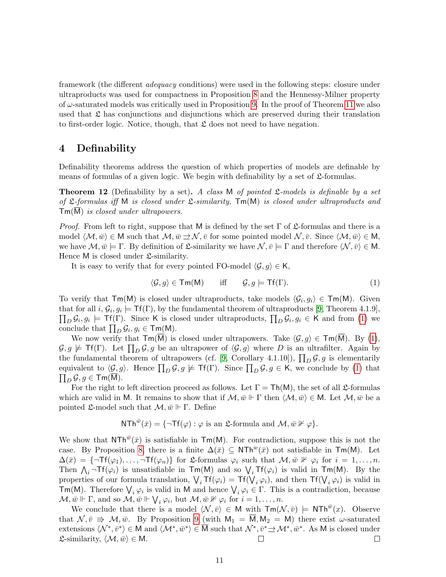framework (the different adequacy conditions) were used in the following steps: closure under ultraproducts was used for compactness in Proposition [8](#page-7-2) and the Hennessy-Milner property of  $\omega$ -saturated models was critically used in Proposition [9.](#page-7-1) In the proof of Theorem [11](#page-8-2) we also used that  $\mathfrak L$  has conjunctions and disjunctions which are preserved during their translation to first-order logic. Notice, though, that  $\mathfrak L$  does not need to have negation.

# <span id="page-10-0"></span>4 Definability

Definability theorems address the question of which properties of models are definable by means of formulas of a given logic. We begin with definability by a set of  $\mathfrak{L}$ -formulas.

<span id="page-10-2"></span>**Theorem 12** (Definability by a set). A class M of pointed  $\mathcal{L}\text{-models}$  is definable by a set of  $\mathfrak L$ -formulas iff M is closed under  $\mathfrak L$ -similarity,  $\mathsf{Tm}(\mathsf{M})$  is closed under ultraproducts and Tm(M) is closed under ultrapowers.

*Proof.* From left to right, suppose that M is defined by the set  $\Gamma$  of £-formulas and there is a model  $\langle \mathcal{M}, \bar{w} \rangle \in M$  such that  $\mathcal{M}, \bar{w} \rightrightarrows \mathcal{N}, \bar{v}$  for some pointed model  $\mathcal{N}, \bar{v}$ . Since  $\langle \mathcal{M}, \bar{w} \rangle \in M$ , we have  $\mathcal{M}, \bar{w} \models \Gamma$ . By definition of  $\mathfrak{L}$ -similarity we have  $\mathcal{N}, \bar{v} \models \Gamma$  and therefore  $\langle \mathcal{N}, \bar{v} \rangle \in \mathsf{M}$ . Hence M is closed under  $\mathfrak{L}$ -similarity.

It is easy to verify that for every pointed FO-model  $\langle \mathcal{G}, g \rangle \in \mathsf{K}$ ,

<span id="page-10-1"></span>
$$
\langle \mathcal{G}, g \rangle \in \mathsf{Tm}(\mathsf{M}) \quad \text{iff} \quad \mathcal{G}, g \models \mathsf{Tf}(\Gamma). \tag{1}
$$

To verify that  $\mathsf{Tm}(M)$  is closed under ultraproducts, take models  $\langle \mathcal{G}_i, g_i \rangle \in \mathsf{Tm}(M)$ . Given that for all  $i, \mathcal{G}_i, g_i \models \mathsf{Tf}(\Gamma)$ , by the fundamental theorem of ultraproducts [\[9,](#page-21-4) Theorem 4.1.9],  $\prod_D \mathcal{G}_i, g_i \models \mathsf{Tf}(\Gamma)$ . Since K is closed under ultraproducts,  $\prod_D \mathcal{G}_i, g_i \in \mathsf{K}$  and from [\(1\)](#page-10-1) we conclude that  $\prod_D \mathcal{G}_i, g_i \in \mathsf{Tm}(\mathsf{M}).$ 

We now verify that  $\mathsf{Tm}(M)$  is closed under ultrapowers. Take  $\langle \mathcal{G}, g \rangle \in \mathsf{Tm}(M)$ . By [\(1\)](#page-10-1),  $G, g \not\models \mathsf{Tf}(\Gamma)$ . Let  $\prod_D \mathcal{G}, g$  be an ultrapower of  $\langle \mathcal{G}, g \rangle$  where D is an ultrafilter. Again by the fundamental theorem of ultrapowers (cf. [\[9,](#page-21-4) Corollary 4.1.10]),  $\prod_D \mathcal{G}, g$  is elementarily equivalent to  $\langle \mathcal{G}, g \rangle$ . Hence  $\prod_D \mathcal{G}, g \not\models \mathsf{Tf}(\Gamma)$ . Since  $\prod_D \mathcal{G}, g \in \mathsf{K}$ , we conclude by [\(1\)](#page-10-1) that  $\prod_D \mathcal{G}, g \in \mathsf{Tm}(\overline{\mathsf{M}}).$ 

For the right to left direction proceed as follows. Let  $\Gamma = \text{Th}(M)$ , the set of all *2*-formulas which are valid in M. It remains to show that if  $M, \bar{w} \Vdash \Gamma$  then  $\langle M, \bar{w} \rangle \in M$ . Let  $M, \bar{w}$  be a pointed £-model such that  $\mathcal{M}, \bar{w} \Vdash \Gamma$ . Define

$$
\mathsf{NTh}^{\bar{w}}(\bar{x}) = \{\neg \mathsf{Tf}(\varphi) : \varphi \text{ is an } \mathfrak{L}\text{-formula and } \mathcal{M}, \bar{w} \nVdash \varphi\}.
$$

We show that  $NTh^{\bar{w}}(\bar{x})$  is satisfiable in  $Tm(M)$ . For contradiction, suppose this is not the case. By Proposition [8,](#page-7-2) there is a finite  $\Delta(\bar{x}) \subseteq NTh^w(\bar{x})$  not satisfiable in Tm(M). Let  $\Delta(\bar{x}) = {\{\neg \textsf{Tf}(\varphi_1), \dots, \neg \textsf{Tf}(\varphi_n)\}\text{ for } \mathfrak{L}\text{-formulas } \varphi_i \text{ such that } \mathcal{M}, \bar{w} \not\Vdash \varphi_i \text{ for } i = 1, \dots, n.}$ Then  $\bigwedge_i \neg \textsf{Tf}(\varphi_i)$  is unsatisfiable in  $\textsf{Tm}(M)$  and so  $\bigvee_i \textsf{Tf}(\varphi_i)$  is valid in  $\textsf{Tm}(M)$ . By the properties of our formula translation,  $\bigvee_i Tf(\varphi_i) = Tf(\bigvee_i \varphi_i)$ , and then  $Tf(\bigvee_i \varphi_i)$  is valid in **Tm(M)**. Therefore  $\bigvee_i \varphi_i$  is valid in M and hence  $\bigvee_i \varphi_i \in \Gamma$ . This is a contradiction, because  $\mathcal{M}, \bar{w} \Vdash \Gamma$ , and so  $\mathcal{M}, \bar{w} \Vdash \bigvee_i \varphi_i$ , but  $\mathcal{M}, \bar{w} \nvDash \varphi_i$  for  $i = 1, \ldots, n$ .

We conclude that there is a model  $\langle \mathcal{N}, \bar{v} \rangle \in M$  with  $\mathsf{Tm}(\mathcal{N}, \bar{v})$   $\models$  NTh<sup> $\bar{w}(x)$ </sup>. Observe that  $\mathcal{N}, \bar{v} \Rightarrow \mathcal{M}, \bar{w}$ . By Proposition [9](#page-7-1) (with  $M_1 = \overline{M}, M_2 = M$ ) there exist  $\omega$ -saturated extensions  $\langle \mathcal{N}^*, \bar{v}^* \rangle \in \mathsf{M}$  and  $\langle \mathcal{M}^*, \bar{w}^* \rangle \in \overline{\mathsf{M}}$  such that  $\mathcal{N}^*, \bar{v}^* \to \mathcal{M}^*, \bar{w}^*$ . As M is closed under  $\mathfrak{L}$ -similarity,  $\langle \mathcal{M}, \bar{w} \rangle \in \mathsf{M}$ .  $\Box$  $\Box$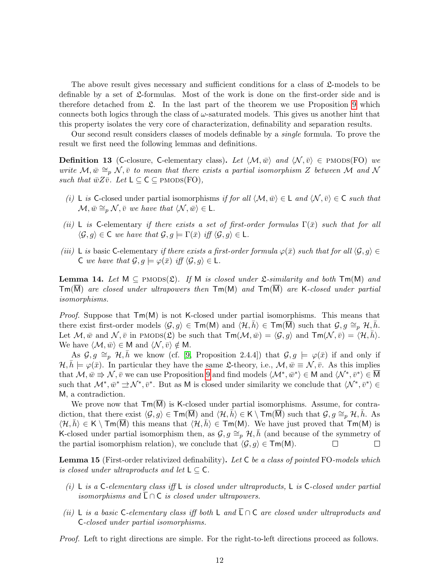The above result gives necessary and sufficient conditions for a class of  $\mathfrak{L}$ -models to be definable by a set of  $\mathfrak{L}$ -formulas. Most of the work is done on the first-order side and is therefore detached from  $\mathfrak{L}$ . In the last part of the theorem we use Proposition [9](#page-7-1) which connects both logics through the class of  $\omega$ -saturated models. This gives us another hint that this property isolates the very core of characterization, definability and separation results.

Our second result considers classes of models definable by a single formula. To prove the result we first need the following lemmas and definitions.

**Definition 13** (C-closure, C-elementary class). Let  $\langle \mathcal{M}, \bar{w} \rangle$  and  $\langle \mathcal{N}, \bar{v} \rangle \in \text{PMODS}(\text{FO})$  we write  $\mathcal{M}, \bar{w} \cong_{p} \mathcal{N}, \bar{v}$  to mean that there exists a partial isomorphism Z between M and N such that  $\bar{w}Z\bar{v}$ . Let  $L \subseteq C \subseteq$  PMODS(FO),

- (i) L is C-closed under partial isomorphisms if for all  $\langle \mathcal{M}, \bar{w} \rangle \in \mathsf{L}$  and  $\langle \mathcal{N}, \bar{v} \rangle \in \mathsf{C}$  such that  $\mathcal{M}, \bar{w} \cong_{p} \mathcal{N}, \bar{v}$  we have that  $\langle \mathcal{N}, \bar{w} \rangle \in \mathsf{L}.$
- (ii) L is C-elementary if there exists a set of first-order formulas  $\Gamma(\bar{x})$  such that for all  $\langle \mathcal{G}, g \rangle \in \mathsf{C}$  we have that  $\mathcal{G}, g \models \Gamma(\bar{x})$  iff  $\langle \mathcal{G}, g \rangle \in \mathsf{L}$ .
- (iii) L is basic C-elementary if there exists a first-order formula  $\varphi(\bar{x})$  such that for all  $\langle \mathcal{G}, g \rangle \in$ C we have that  $\mathcal{G}, g \models \varphi(\bar{x})$  iff  $\langle \mathcal{G}, g \rangle \in \mathsf{L}$ .

<span id="page-11-2"></span>**Lemma 14.** Let  $M \subseteq PMODS(\mathfrak{L})$ . If M is closed under  $\mathfrak{L}\text{-}similarity$  and both  $Tm(M)$  and  $\mathsf{Tm}(\overline{\mathsf{M}})$  are closed under ultrapowers then  $\mathsf{Tm}(\mathsf{M})$  and  $\mathsf{Tm}(\overline{\mathsf{M}})$  are K-closed under partial isomorphisms.

*Proof.* Suppose that  $Tm(M)$  is not K-closed under partial isomorphisms. This means that there exist first-order models  $\langle \mathcal{G}, g \rangle \in \mathsf{Tm}(\mathsf{M})$  and  $\langle \mathcal{H}, \overline{h} \rangle \in \mathsf{Tm}(\overline{\mathsf{M}})$  such that  $\mathcal{G}, g \cong_{p} \mathcal{H}, h$ . Let  $M, \bar{w}$  and  $\mathcal{N}, \bar{v}$  in PMODS( $\mathfrak{L}$ ) be such that  $\mathsf{Tm}(\mathcal{M}, \bar{w}) = \langle \mathcal{G}, g \rangle$  and  $\mathsf{Tm}(\mathcal{N}, \bar{v}) = \langle \mathcal{H}, \bar{h} \rangle$ . We have  $\langle \mathcal{M}, \bar{w} \rangle \in M$  and  $\langle \mathcal{N}, \bar{v} \rangle \notin M$ .

As  $\mathcal{G}, g \cong_p \mathcal{H}, h$  we know (cf. [\[9,](#page-21-4) Proposition 2.4.4]) that  $\mathcal{G}, g \models \varphi(\bar{x})$  if and only if  $\mathcal{H}, \bar{h} \models \varphi(\bar{x})$ . In particular they have the same L-theory, i.e.,  $\mathcal{M}, \bar{w} \equiv \mathcal{N}, \bar{v}$ . As this implies that  $M, \bar{w} \Rightarrow N, \bar{v}$  we can use Proposition [9](#page-7-1) and find models  $\langle \mathcal{M}^*, \bar{w}^* \rangle \in M$  and  $\langle \mathcal{N}^*, \bar{v}^* \rangle \in \overline{M}$ such that  $\mathcal{M}^*, \bar{w}^* \to \mathcal{N}^*, \bar{v}^*$ . But as M is closed under similarity we conclude that  $\langle \mathcal{N}^*, \bar{v}^* \rangle \in$ M, a contradiction.

We prove now that  $\text{Im}(\overline{M})$  is K-closed under partial isomorphisms. Assume, for contradiction, that there exist  $\langle \mathcal{G}, g \rangle \in \text{Im}(M)$  and  $\langle \mathcal{H}, h \rangle \in K \setminus \text{Im}(M)$  such that  $\mathcal{G}, g \cong_p \mathcal{H}, h$ . As  $\langle H, h \rangle \in K \setminus \text{Im}(M)$  this means that  $\langle H, h \rangle \in \text{Im}(M)$ . We have just proved that  $\text{Im}(M)$  is K-closed under partial isomorphism then, as  $\mathcal{G}, g \cong_p \mathcal{H}, h$  (and because of the symmetry of the partial isomorphism relation), we conclude that  $\langle \mathcal{G}, g \rangle \in \mathsf{Tm}(\mathsf{M})$ .  $\Box$  $\Box$ 

<span id="page-11-3"></span>Lemma 15 (First-order relativized definability). Let C be a class of pointed FO-models which is closed under ultraproducts and let  $L \subseteq C$ .

- <span id="page-11-0"></span>(i) L is a C-elementary class iff L is closed under ultraproducts, L is C-closed under partial isomorphisms and  $L \cap C$  is closed under ultrapowers.
- <span id="page-11-1"></span>(ii) L is a basic C-elementary class iff both L and  $\overline{\mathsf{L}} \cap \mathsf{C}$  are closed under ultraproducts and C-closed under partial isomorphisms.

Proof. Left to right directions are simple. For the right-to-left directions proceed as follows.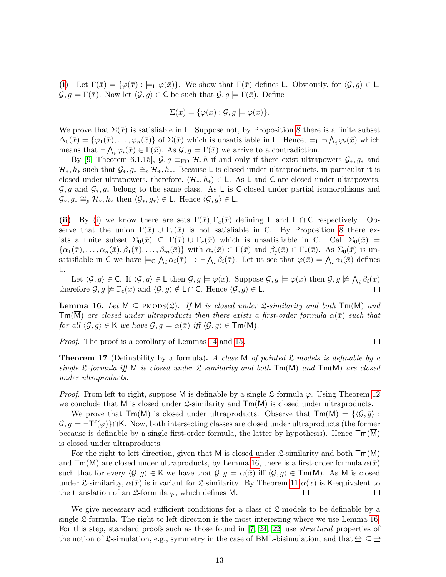[\(i\)](#page-11-0) Let  $\Gamma(\bar{x}) = {\varphi(\bar{x}) : \models_L \varphi(\bar{x})}.$  We show that  $\Gamma(\bar{x})$  defines L. Obviously, for  $\langle \mathcal{G}, g \rangle \in \mathsf{L}$ ,  $\mathcal{G}, g \models \Gamma(\bar{x})$ . Now let  $\langle \mathcal{G}, g \rangle \in \mathsf{C}$  be such that  $\mathcal{G}, g \models \Gamma(\bar{x})$ . Define

$$
\Sigma(\bar{x}) = \{ \varphi(\bar{x}) : \mathcal{G}, g \models \varphi(\bar{x}) \}.
$$

We prove that  $\Sigma(\bar{x})$  is satisfiable in L. Suppose not, by Proposition [8](#page-7-2) there is a finite subset  $\Delta_0(\bar{x}) = \{\varphi_1(\bar{x}), \ldots, \varphi_n(\bar{x})\}$  of  $\Sigma(\bar{x})$  which is unsatisfiable in L. Hence,  $\models \Box \bigwedge_i \varphi_i(\bar{x})$  which means that  $\neg \bigwedge_i \varphi_i(\bar{x}) \in \Gamma(\bar{x})$ . As  $\mathcal{G}, g \models \Gamma(\bar{x})$  we arrive to a contradiction.

By [\[9,](#page-21-4) Theorem 6.1.15],  $\mathcal{G}, g \equiv_{\text{FO}} \mathcal{H}, h$  if and only if there exist ultrapowers  $\mathcal{G}_*, g_*$  and  $\mathcal{H}_*, h_*$  such that  $\mathcal{G}_*, g_* \cong_p \mathcal{H}_*, h_*$ . Because L is closed under ultraproducts, in particular it is closed under ultrapowers, therefore,  $\langle \mathcal{H}_*, h_* \rangle \in \mathsf{L}$ . As L and C are closed under ultrapowers,  $\mathcal{G}, g$  and  $\mathcal{G}_*, g_*$  belong to the same class. As L is C-closed under partial isomorphisms and  $\mathcal{G}_*, g_* \cong_p \mathcal{H}_*, h_*$  then  $\langle \mathcal{G}_*, g_* \rangle \in \mathsf{L}$ . Hence  $\langle \mathcal{G}, g \rangle \in \mathsf{L}$ .

[\(ii\)](#page-11-1) By [\(i\)](#page-11-0) we know there are sets  $\Gamma(\bar{x}), \Gamma_c(\bar{x})$  defining L and  $\bar{\mathsf{L}} \cap \mathsf{C}$  respectively. Observe that the union  $\Gamma(\bar{x}) \cup \Gamma_c(\bar{x})$  is not satisfiable in C. By Proposition [8](#page-7-2) there exists a finite subset  $\Sigma_0(\bar{x}) \subseteq \Gamma(\bar{x}) \cup \Gamma_c(\bar{x})$  which is unsatisfiable in C. Call  $\Sigma_0(\bar{x}) =$  $\{\alpha_1(\bar{x}), \ldots, \alpha_n(\bar{x}), \beta_1(\bar{x}), \ldots, \beta_m(\bar{x})\}\$  with  $\alpha_i(\bar{x}) \in \Gamma(\bar{x})$  and  $\beta_i(\bar{x}) \in \Gamma_c(\bar{x})$ . As  $\Sigma_0(\bar{x})$  is unsatisfiable in C we have  $\models c \bigwedge_i \alpha_i(\bar{x}) \rightarrow \neg \bigwedge_i \beta_i(\bar{x})$ . Let us see that  $\varphi(\bar{x}) = \bigwedge_i \alpha_i(\bar{x})$  defines L.

Let  $\langle \mathcal{G}, g \rangle \in \mathsf{C}$ . If  $\langle \mathcal{G}, g \rangle \in \mathsf{L}$  then  $\mathcal{G}, g \models \varphi(\bar{x})$ . Suppose  $\mathcal{G}, g \models \varphi(\bar{x})$  then  $\mathcal{G}, g \not\models \bigwedge_i \beta_i(\bar{x})$ therefore  $\mathcal{G}, g \not\models \Gamma_c(\bar{x})$  and  $\langle \mathcal{G}, g \rangle \notin \overline{\mathsf{L}} \cap \mathsf{C}$ . Hence  $\langle \mathcal{G}, g \rangle \in \mathsf{L}$ .  $\Box$ 

<span id="page-12-0"></span>**Lemma 16.** Let  $M \subseteq PMODS(\mathfrak{L})$ . If M is closed under  $\mathfrak{L}\text{-}similarity$  and both  $Tm(M)$  and  $\mathsf{Tm}(M)$  are closed under ultraproducts then there exists a first-order formula  $\alpha(\bar{x})$  such that for all  $\langle \mathcal{G}, g \rangle \in \mathsf{K}$  we have  $\mathcal{G}, g \models \alpha(\bar{x})$  iff  $\langle \mathcal{G}, g \rangle \in \mathsf{Tm}(\mathsf{M})$ .

Proof. The proof is a corollary of Lemmas [14](#page-11-2) and [15.](#page-11-3)  $\Box$   $\Box$ 

**Theorem 17** (Definability by a formula). A class M of pointed  $\mathcal{L}\text{-models}$  is definable by a single  $\mathfrak{L}$ -formula iff M is closed under  $\mathfrak{L}$ -similarity and both  $\mathsf{Tm}(M)$  and  $\mathsf{Tm}(\overline{M})$  are closed under ultraproducts.

*Proof.* From left to right, suppose M is definable by a single  $\mathfrak{L}$ -formula  $\varphi$ . Using Theorem [12](#page-10-2) we conclude that M is closed under  $\mathfrak{L}$ -similarity and  $\mathsf{Tm}(M)$  is closed under ultraproducts.

We prove that  $\mathsf{Tm}(\overline{M})$  is closed under ultraproducts. Observe that  $\mathsf{Tm}(\overline{M}) = \{\langle \mathcal{G}, \overline{g}\rangle :$  $\mathcal{G}, g \models \neg \mathsf{Tf}(\varphi) \} \cap \mathsf{K}$ . Now, both intersecting classes are closed under ultraproducts (the former because is definable by a single first-order formula, the latter by hypothesis). Hence  $\mathsf{Tm}(M)$ is closed under ultraproducts.

For the right to left direction, given that M is closed under  $\mathfrak{L}$ -similarity and both  $\mathsf{Tm}(M)$ and  $\mathsf{Tm}(M)$  are closed under ultraproducts, by Lemma [16,](#page-12-0) there is a first-order formula  $\alpha(\bar{x})$ such that for every  $\langle \mathcal{G}, g \rangle \in \mathsf{K}$  we have that  $\mathcal{G}, g \models \alpha(\bar{x})$  iff  $\langle \mathcal{G}, g \rangle \in \mathsf{Tm}(\mathsf{M})$ . As M is closed under L-similarity,  $\alpha(\bar{x})$  is invariant for L-similarity. By Theorem [11](#page-8-2)  $\alpha(x)$  is K-equivalent to the translation of an  $\mathfrak{L}$ -formula  $\varphi$ , which defines M.  $\Box$  $\Box$ 

We give necessary and sufficient conditions for a class of  $\mathfrak{L}$ -models to be definable by a single L-formula. The right to left direction is the most interesting where we use Lemma [16.](#page-12-0) For this step, standard proofs such as those found in [\[7,](#page-21-0) [24,](#page-22-6) [22\]](#page-22-2) use *structural* properties of the notion of L-simulation, e.g., symmetry in the case of BML-bisimulation, and that  $\leq \leq \geq$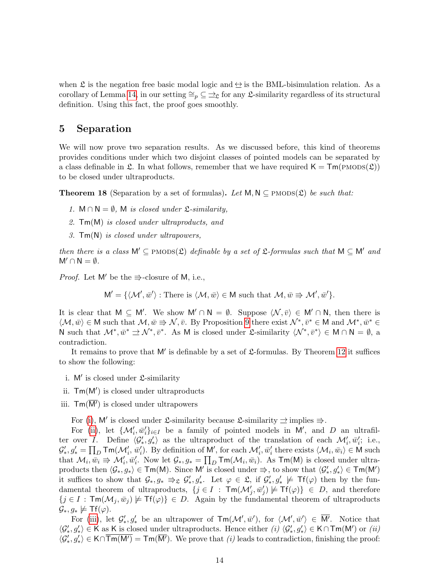when  $\mathfrak L$  is the negation free basic modal logic and  $\hookrightarrow$  is the BML-bisimulation relation. As a corollary of Lemma [14,](#page-11-2) in our setting  $\cong_p \subseteq \cong_{\mathfrak{L}}$  for any  $\mathfrak{L}$ -similarity regardless of its structural definition. Using this fact, the proof goes smoothly.

#### <span id="page-13-0"></span>5 Separation

We will now prove two separation results. As we discussed before, this kind of theorems provides conditions under which two disjoint classes of pointed models can be separated by a class definable in  $\mathfrak{L}$ . In what follows, remember that we have required  $\mathsf{K} = \mathsf{Tm}(\text{PMODS}(\mathfrak{L}))$ to be closed under ultraproducts.

<span id="page-13-4"></span>**Theorem 18** (Separation by a set of formulas). Let  $M, N \subseteq PMODS(\mathcal{L})$  be such that:

- 1.  $M \cap N = \emptyset$ , M is closed under  $\mathfrak{L}\text{-}\mathit{similarity}$ .
- 2. Tm(M) is closed under ultraproducts, and
- 3. Tm(N) is closed under ultrapowers,

then there is a class  $M' \subseteq PMODS(\mathfrak{L})$  definable by a set of  $\mathfrak{L}$ -formulas such that  $M \subseteq M'$  and  $M' \cap N = \emptyset$ .

*Proof.* Let M' be the  $\Rightarrow$ -closure of M, i.e.,

$$
M' = \{ \langle \mathcal{M}', \bar{w}' \rangle : \text{There is } \langle \mathcal{M}, \bar{w} \rangle \in M \text{ such that } \mathcal{M}, \bar{w} \Rightarrow \mathcal{M}', \bar{w}' \}.
$$

It is clear that  $M \subseteq M'$ . We show  $M' \cap N = \emptyset$ . Suppose  $\langle \mathcal{N}, \bar{v} \rangle \in M' \cap N$ , then there is  $\langle \mathcal{M}, \bar{w} \rangle \in \mathsf{M}$  such that  $\mathcal{M}, \bar{w} \Rightarrow \mathcal{N}, \bar{v}$ . By Proposition [9](#page-7-1) there exist  $\mathcal{N}^*, \bar{v}^* \in \mathsf{M}$  and  $\mathcal{M}^*, \bar{w}^* \in \mathsf{M}$ N such that  $\mathcal{M}^*, \bar{w}^* \rightrightarrows \mathcal{N}^*, \bar{v}^*$ . As M is closed under £-similarity  $\langle \mathcal{N}^*, \bar{v}^* \rangle \in M \cap N = \emptyset$ , a contradiction.

It remains to prove that  $M'$  is definable by a set of  $\mathfrak L$ -formulas. By Theorem [12](#page-10-2) it suffices to show the following:

- <span id="page-13-1"></span>i.  $M'$  is closed under  $\mathfrak{L}$ -similarity
- <span id="page-13-2"></span>ii.  $\mathsf{Tm}(M')$  is closed under ultraproducts
- <span id="page-13-3"></span>iii.  $\text{Im}(\overline{M'})$  is closed under ultrapowers

For [\(i\)](#page-13-1), M' is closed under  $\mathfrak{L}$ -similarity because  $\mathfrak{L}$ -similarity  $\Rightarrow$  implies  $\Rightarrow$ .

For [\(ii\)](#page-13-2), let  $\{\mathcal{M}'_i, \bar{w}'_i\}_{i\in I}$  be a family of pointed models in M', and D an ultrafilter over I. Define  $\langle \mathcal{G}'_*, \mathcal{G}'_* \rangle$  as the ultraproduct of the translation of each  $\mathcal{M}'_i, \bar{w}'_i$ ; i.e.,  $\mathcal{G}'_*, g'_* = \prod_D \mathsf{Tm}(\mathcal{M}'_i, \bar{w}'_i)$ . By definition of M', for each  $\mathcal{M}'_i, \bar{w}'_i$  there exists  $\langle \mathcal{M}_i, \bar{w}_i \rangle \in \mathsf{M}$  such that  $\mathcal{M}_i, \overline{w}_i \Rightarrow \mathcal{M}'_i, \overline{w}'_i$ . Now let  $\mathcal{G}_*, g_* = \prod_D \text{Im}(\mathcal{M}_i, \overline{w}_i)$ . As  $\text{Im}(\mathsf{M})$  is closed under ultraproducts then  $\langle G_*, g_* \rangle \in \textsf{Tm}(M)$ . Since M' is closed under  $\Rightarrow$ , to show that  $\langle G'_*, g'_* \rangle \in \textsf{Tm}(M')$ it suffices to show that  $\mathcal{G}_*, g_* \Rightarrow_{\mathfrak{L}} \mathcal{G}'_*, g'_*$ . Let  $\varphi \in \mathfrak{L}$ , if  $\mathcal{G}'_*, g'_* \not\models \mathsf{Tf}(\varphi)$  then by the fundamental theorem of ultraproducts,  $\{j \in I : \mathsf{Tm}(\mathcal{M}'_j, \bar{w}'_j) \not\models \mathsf{Tf}(\varphi)\}\in D$ , and therefore  $\{j \in I : \mathsf{Tm}(\mathcal{M}_j, \bar{w}_j) \not\models \mathsf{Tf}(\varphi)\}\in D.$  Again by the fundamental theorem of ultraproducts  $\mathcal{G}_*, g_* \not\models \mathsf{Tf}(\varphi).$ 

For [\(iii\)](#page-13-3), let  $\mathcal{G}'_*, \mathcal{G}'_*$  be an ultrapower of  $\mathsf{Tm}(\mathcal{M}', \bar{w}')$ , for  $\langle \mathcal{M}', \bar{w}' \rangle \in \overline{\mathsf{M}'}$ . Notice that  $\langle \mathcal{G}'_*, g'_* \rangle \in \mathsf{K}$  as K is closed under ultraproducts. Hence either  $(i)$   $\langle \mathcal{G}'_*, g'_* \rangle \in \mathsf{K} \cap \mathsf{Tm}(\mathsf{M}')$  or  $(ii)$  $\langle \mathcal{G}'_*, g'_* \rangle \in \mathsf{K} \cap \overline{\mathsf{Tm}(M')} = \mathsf{Tm}(\overline{M'})$ . We prove that (i) leads to contradiction, finishing the proof: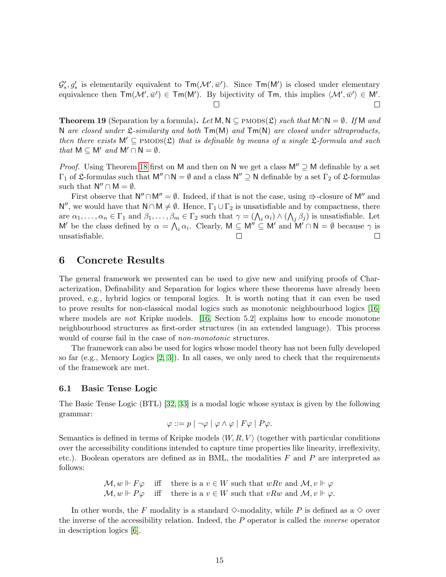$\mathcal{G}'_*, g'_*$  is elementarily equivalent to  $\textsf{Tm}(\mathcal{M}', \bar{w}')$ . Since  $\textsf{Tm}(\mathcal{M}')$  is closed under elementary equivalence then  $\textsf{Tm}(\mathcal{M}', \bar{w}') \in \textsf{Tm}(\mathsf{M}')$ . By bijectivity of  $\textsf{Tm}$ , this implies  $\langle \mathcal{M}', \bar{w}' \rangle \in \mathsf{M}'$ .  $\Box$  $\Box$ 

**Theorem 19** (Separation by a formula). Let M, N ⊂ PMODS( $\mathcal{L}$ ) such that M∩N =  $\emptyset$ . If M and N are closed under  $\mathfrak{L}\text{-}similarity$  and both  $\mathsf{Tm}(\mathsf{M})$  and  $\mathsf{Tm}(\mathsf{N})$  are closed under ultraproducts, then there exists  $M' \subseteq PMODS(\mathfrak{L})$  that is definable by means of a single  $\mathfrak{L}$ -formula and such that  $M \subset M'$  and  $M' \cap N = \emptyset$ .

*Proof.* Using Theorem [18](#page-13-4) first on M and then on N we get a class  $M'' \supseteq M$  definable by a set  $\Gamma_1$  of  $\mathfrak L$ -formulas such that  $M'' \cap N = \emptyset$  and a class  $N'' \supseteq N$  definable by a set  $\Gamma_2$  of  $\mathfrak L$ -formulas such that  $N'' \cap M = \emptyset$ .

First observe that  $N'' \cap M'' = \emptyset$ . Indeed, if that is not the case, using  $\Rightarrow$ -closure of M'' and  $\mathsf{N}''$ , we would have that  $\mathsf{N} \cap \mathsf{M} \neq \emptyset$ . Hence,  $\Gamma_1 \cup \Gamma_2$  is unsatisfiable and by compactness, there are  $\alpha_1,\ldots,\alpha_n\in\Gamma_1$  and  $\beta_1,\ldots,\beta_m\in\Gamma_2$  such that  $\gamma=(\bigwedge_i\alpha_i)\wedge(\bigwedge_j\beta_j)$  is unsatisfiable. Let M' be the class defined by  $\alpha = \bigwedge_i \alpha_i$ . Clearly,  $M \subseteq M'' \subseteq M'$  and  $M' \cap N = \emptyset$  because  $\gamma$  is unsatisfiable.  $\Box$ 

#### <span id="page-14-0"></span>6 Concrete Results

The general framework we presented can be used to give new and unifying proofs of Characterization, Definability and Separation for logics where these theorems have already been proved, e.g., hybrid logics or temporal logics. It is worth noting that it can even be used to prove results for non-classical modal logics such as monotonic neighbourhood logics [\[16\]](#page-21-9) where models are *not* Kripke models. [\[16,](#page-21-9) Section 5.2] explains how to encode monotone neighbourhood structures as first-order structures (in an extended language). This process would of course fail in the case of *non-monotonic* structures.

The framework can also be used for logics whose model theory has not been fully developed so far (e.g., Memory Logics [\[2,](#page-20-0) [3\]](#page-21-10)). In all cases, we only need to check that the requirements of the framework are met.

#### 6.1 Basic Tense Logic

The Basic Tense Logic (BTL) [\[32,](#page-22-8) [33\]](#page-22-9) is a modal logic whose syntax is given by the following grammar:

$$
\varphi ::= p \mid \neg \varphi \mid \varphi \land \varphi \mid F\varphi \mid P\varphi.
$$

Semantics is defined in terms of Kripke models  $\langle W, R, V \rangle$  (together with particular conditions over the accessibility conditions intended to capture time properties like linearity, irreflexivity, etc.). Boolean operators are defined as in BML, the modalities  $F$  and  $P$  are interpreted as follows:

> $\mathcal{M}, w \Vdash F\varphi$  iff there is a  $v \in W$  such that  $wRv$  and  $\mathcal{M}, v \Vdash \varphi$  $\mathcal{M}, w \Vdash P\varphi$  iff there is a  $v \in W$  such that  $vRw$  and  $\mathcal{M}, v \Vdash \varphi$ .

In other words, the F modality is a standard  $\diamond$ -modality, while P is defined as a  $\diamond$  over the inverse of the accessibility relation. Indeed, the P operator is called the inverse operator in description logics [\[6\]](#page-21-11).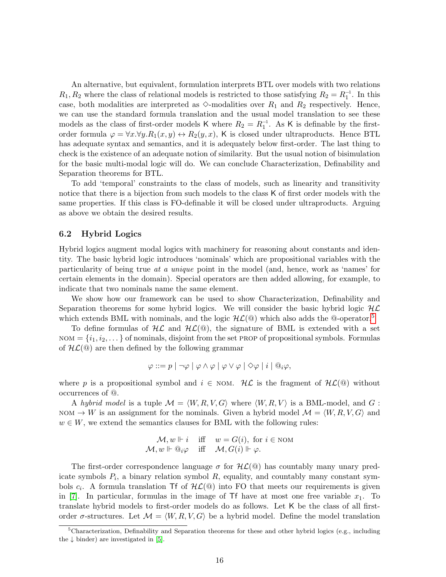An alternative, but equivalent, formulation interprets BTL over models with two relations  $R_1, R_2$  where the class of relational models is restricted to those satisfying  $R_2 = R_1^{-1}$ . In this case, both modalities are interpreted as  $\diamond$ -modalities over  $R_1$  and  $R_2$  respectively. Hence, we can use the standard formula translation and the usual model translation to see these models as the class of first-order models K where  $R_2 = R_1^{-1}$ . As K is definable by the firstorder formula  $\varphi = \forall x. \forall y. R_1(x, y) \leftrightarrow R_2(y, x)$ , K is closed under ultraproducts. Hence BTL has adequate syntax and semantics, and it is adequately below first-order. The last thing to check is the existence of an adequate notion of similarity. But the usual notion of bisimulation for the basic multi-modal logic will do. We can conclude Characterization, Definability and Separation theorems for BTL.

To add 'temporal' constraints to the class of models, such as linearity and transitivity notice that there is a bijection from such models to the class K of first order models with the same properties. If this class is FO-definable it will be closed under ultraproducts. Arguing as above we obtain the desired results.

#### 6.2 Hybrid Logics

Hybrid logics augment modal logics with machinery for reasoning about constants and identity. The basic hybrid logic introduces 'nominals' which are propositional variables with the particularity of being true at a unique point in the model (and, hence, work as 'names' for certain elements in the domain). Special operators are then added allowing, for example, to indicate that two nominals name the same element.

We show how our framework can be used to show Characterization, Definability and Separation theorems for some hybrid logics. We will consider the basic hybrid logic  $H\mathcal{L}$ which extends BML with nominals, and the logic  $H\mathcal{L}(\mathbb{Q})$  which also adds the  $\mathbb{Q}$ -operator.<sup>[5](#page-15-0)</sup>

To define formulas of  $H\mathcal{L}$  and  $H\mathcal{L}(\mathbb{Q})$ , the signature of BML is extended with a set  $NOM = \{i_1, i_2, \dots\}$  of nominals, disjoint from the set PROP of propositional symbols. Formulas of  $H\mathcal{L}(\mathbb{Q})$  are then defined by the following grammar

$$
\varphi ::= p | \neg \varphi | \varphi \wedge \varphi | \varphi \vee \varphi | \diamond \varphi | i | @_{i}\varphi,
$$

where p is a propositional symbol and  $i \in \text{NOM}$ . HL is the fragment of  $HL(\mathbb{Q})$  without occurrences of @.

A hybrid model is a tuple  $\mathcal{M} = \langle W, R, V, G \rangle$  where  $\langle W, R, V \rangle$  is a BML-model, and G:  $\text{NOM} \to W$  is an assignment for the nominals. Given a hybrid model  $\mathcal{M} = \langle W, R, V, G \rangle$  and  $w \in W$ , we extend the semantics clauses for BML with the following rules:

$$
\mathcal{M}, w \Vdash i \quad \text{iff} \quad w = G(i), \text{ for } i \in \text{NON} \\ \mathcal{M}, w \Vdash \mathbb{Q}_i \varphi \quad \text{iff} \quad \mathcal{M}, G(i) \Vdash \varphi.
$$

The first-order correspondence language  $\sigma$  for  $H\mathcal{L}(\mathbb{Q})$  has countably many unary predicate symbols  $P_i$ , a binary relation symbol  $R$ , equality, and countably many constant symbols  $c_i$ . A formula translation Tf of  $HL(\mathbb{Q})$  into FO that meets our requirements is given in [\[7\]](#page-21-0). In particular, formulas in the image of  $\mathsf{Tf}$  have at most one free variable  $x_1$ . To translate hybrid models to first-order models do as follows. Let K be the class of all firstorder  $\sigma$ -structures. Let  $\mathcal{M} = \langle W, R, V, G \rangle$  be a hybrid model. Define the model translation

<span id="page-15-0"></span><sup>5</sup>Characterization, Definability and Separation theorems for these and other hybrid logics (e.g., including the  $\downarrow$  binder) are investigated in [\[5\]](#page-21-12).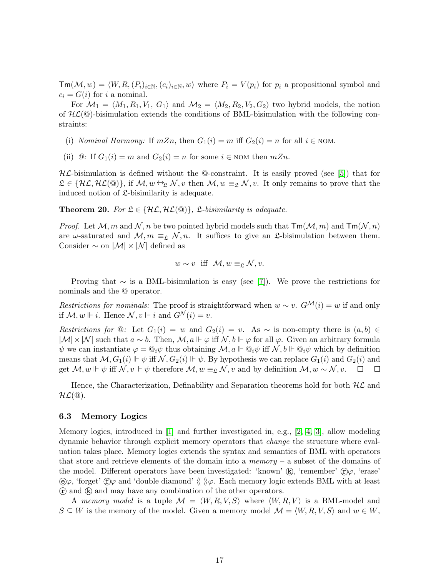$\mathsf{Tm}(\mathcal{M}, w) = \langle W, R,(P_i)_{i\in\mathbb{N}},(c_i)_{i\in\mathbb{N}}, w\rangle$  where  $P_i = V (p_i)$  for  $p_i$  a propositional symbol and  $c_i = G(i)$  for i a nominal.

For  $\mathcal{M}_1 = \langle M_1, R_1, V_1, G_1 \rangle$  and  $\mathcal{M}_2 = \langle M_2, R_2, V_2, G_2 \rangle$  two hybrid models, the notion of  $H\mathcal{L}(\mathbb{Q})$ -bisimulation extends the conditions of BML-bisimulation with the following constraints:

- (i) Nominal Harmony: If  $mZn$ , then  $G_1(i) = m$  iff  $G_2(i) = n$  for all  $i \in NOM$ .
- (ii)  $\mathcal{Q}$ : If  $G_1(i) = m$  and  $G_2(i) = n$  for some  $i \in \text{NOM}$  then  $mZn$ .

 $H\mathcal{L}$ -bisimulation is defined without the  $\Phi$ -constraint. It is easily proved (see [\[5\]](#page-21-12)) that for  $\mathfrak{L} \in \{ \mathcal{HL}, \mathcal{HL}(\mathbb{Q}) \},$  if  $\mathcal{M}, w \leftrightarrow_{\mathcal{L}} \mathcal{N}, v$  then  $\mathcal{M}, w \equiv_{\mathcal{L}} \mathcal{N}, v$ . It only remains to prove that the induced notion of  $\mathfrak{L}$ -bisimilarity is adequate.

**Theorem 20.** For  $\mathfrak{L} \in \{H\mathcal{L}, H\mathcal{L}(\mathbb{Q})\}$ ,  $\mathfrak{L}\text{-}bisimilarity is adequate.$ 

*Proof.* Let  $M, m$  and  $N, n$  be two pointed hybrid models such that  $\text{Im}(\mathcal{M}, m)$  and  $\text{Im}(\mathcal{N}, n)$ are  $\omega$ -saturated and  $\mathcal{M}, m \equiv_{\mathfrak{L}} \mathcal{N}, n$ . It suffices to give an  $\mathfrak{L}$ -bisimulation between them. Consider  $\sim$  on  $|\mathcal{M}| \times |\mathcal{N}|$  defined as

$$
w \sim v
$$
 iff  $\mathcal{M}, w \equiv_{\mathfrak{L}} \mathcal{N}, v$ .

Proving that  $\sim$  is a BML-bisimulation is easy (see [\[7\]](#page-21-0)). We prove the restrictions for nominals and the @ operator.

Restrictions for nominals: The proof is straightforward when  $w \sim v$ .  $G^{\mathcal{M}}(i) = w$  if and only if  $\mathcal{M}, w \Vdash i$ . Hence  $\mathcal{N}, v \Vdash i$  and  $G^{\mathcal{N}}(i) = v$ .

Restrictions for  $@:$  Let  $G_1(i) = w$  and  $G_2(i) = v$ . As  $\sim$  is non-empty there is  $(a, b) \in$  $|\mathcal{M}| \times |\mathcal{N}|$  such that  $a \sim b$ . Then,  $\mathcal{M}, a \Vdash \varphi$  iff  $\mathcal{N}, b \Vdash \varphi$  for all  $\varphi$ . Given an arbitrary formula  $\psi$  we can instantiate  $\varphi = \mathbb{Q}_i \psi$  thus obtaining  $\mathcal{M}, a \Vdash \mathbb{Q}_i \psi$  iff  $\mathcal{N}, b \Vdash \mathbb{Q}_i \psi$  which by definition means that  $\mathcal{M}, G_1(i) \Vdash \psi$  iff  $\mathcal{N}, G_2(i) \Vdash \psi$ . By hypothesis we can replace  $G_1(i)$  and  $G_2(i)$  and get  $\mathcal{M}, w \Vdash \psi$  iff  $\mathcal{N}, v \Vdash \psi$  therefore  $\mathcal{M}, w \equiv_{\mathfrak{L}} \mathcal{N}, v$  and by definition  $\mathcal{M}, w \sim \mathcal{N}, v$ .  $\Box$  $\Box$ 

Hence, the Characterization, Definability and Separation theorems hold for both  $H\mathcal{L}$  and  $\mathcal{HL}(\mathbb{Q})$ .

#### 6.3 Memory Logics

Memory logics, introduced in [\[1\]](#page-20-1) and further investigated in, e.g., [\[2,](#page-20-0) [4,](#page-21-13) [3\]](#page-21-10), allow modeling dynamic behavior through explicit memory operators that change the structure where evaluation takes place. Memory logics extends the syntax and semantics of BML with operators that store and retrieve elements of the domain into a *memory* – a subset of the domains of the model. Different operators have been investigated: 'known'  $\mathbb{Q}$ , 'remember'  $\mathbb{C}\varphi$ , 'erase'  $\Theta \varphi$ , 'forget'  $\Theta \varphi$  and 'double diamond'  $\langle \varphi \rangle$ . Each memory logic extends BML with at least  $\hat{r}$  and  $\hat{k}$  and may have any combination of the other operators.

A memory model is a tuple  $\mathcal{M} = \langle W, R, V, S \rangle$  where  $\langle W, R, V \rangle$  is a BML-model and  $S \subseteq W$  is the memory of the model. Given a memory model  $\mathcal{M} = \langle W, R, V, S \rangle$  and  $w \in W$ ,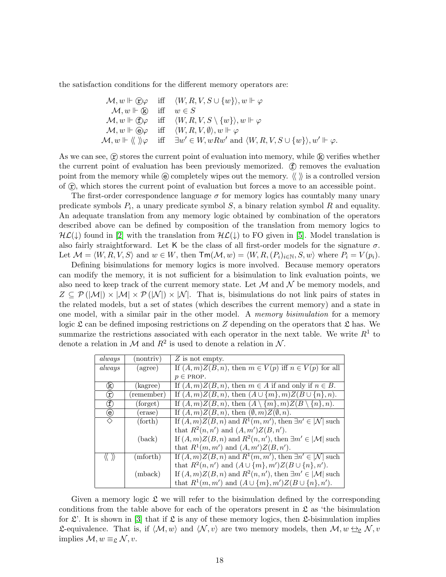the satisfaction conditions for the different memory operators are:

$$
\mathcal{M}, w \Vdash \textcircled{f}\varphi \quad \text{iff} \quad \langle W, R, V, S \cup \{w\}\rangle, w \Vdash \varphi
$$
\n
$$
\mathcal{M}, w \Vdash \textcircled{f}\varphi \quad \text{iff} \quad w \in S
$$
\n
$$
\mathcal{M}, w \Vdash \textcircled{f}\varphi \quad \text{iff} \quad \langle W, R, V, S \setminus \{w\}\rangle, w \Vdash \varphi
$$
\n
$$
\mathcal{M}, w \Vdash \textcircled{g}\varphi \quad \text{iff} \quad \langle W, R, V, \emptyset \rangle, w \Vdash \varphi
$$
\n
$$
\mathcal{M}, w \Vdash \langle \langle \rangle \rangle \varphi \quad \text{iff} \quad \exists w' \in W, wRw' \text{ and } \langle W, R, V, S \cup \{w\}\rangle, w' \Vdash \varphi.
$$

As we can see,  $\hat{r}$  stores the current point of evaluation into memory, while  $\hat{R}$  verifies whether the current point of evaluation has been previously memorized.  $(f)$  removes the evaluation point from the memory while  $\circled{e}$  completely wipes out the memory.  $\langle \rangle$  is a controlled version of  $\hat{\mathcal{L}}$ , which stores the current point of evaluation but forces a move to an accessible point.

The first-order correspondence language  $\sigma$  for memory logics has countably many unary predicate symbols  $P_i$ , a unary predicate symbol  $S$ , a binary relation symbol  $R$  and equality. An adequate translation from any memory logic obtained by combination of the operators described above can be defined by composition of the translation from memory logics to  $H\mathcal{L}(\downarrow)$  found in [\[2\]](#page-20-0) with the translation from  $H\mathcal{L}(\downarrow)$  to FO given in [\[5\]](#page-21-12). Model translation is also fairly straightforward. Let K be the class of all first-order models for the signature  $\sigma$ . Let  $\mathcal{M} = \langle W, R, V, S \rangle$  and  $w \in W$ , then  $\mathsf{Tm}(\mathcal{M}, w) = \langle W, R, (P_i)_{i \in \mathbb{N}}, S, w \rangle$  where  $P_i = V(p_i)$ .

Defining bisimulations for memory logics is more involved. Because memory operators can modify the memory, it is not sufficient for a bisimulation to link evaluation points, we also need to keep track of the current memory state. Let  $\mathcal M$  and  $\mathcal N$  be memory models, and  $Z \subseteq \mathcal{P}(|\mathcal{M}|) \times |\mathcal{M}| \times \mathcal{P}(|\mathcal{N}|) \times |\mathcal{N}|$ . That is, bisimulations do not link pairs of states in the related models, but a set of states (which describes the current memory) and a state in one model, with a similar pair in the other model. A memory bisimulation for a memory logic  $\mathfrak L$  can be defined imposing restrictions on Z depending on the operators that  $\mathfrak L$  has. We summarize the restrictions associated with each operator in the next table. We write  $R<sup>1</sup>$  to denote a relation in  $\mathcal M$  and  $R^2$  is used to denote a relation in  $\mathcal N$ .

| always                            | (nontriv)       | $Z$ is not empty.                                                              |
|-----------------------------------|-----------------|--------------------------------------------------------------------------------|
| always                            | (agree)         | If $(A, m)Z(B, n)$ , then $m \in V(p)$ iff $n \in V(p)$ for all                |
|                                   |                 | $p \in$ PROP.                                                                  |
| $^\mathrm{(k)}$                   | (kagree)        | If $(A, m)Z(B, n)$ , then $m \in A$ if and only if $n \in B$ .                 |
| $^\mathrm{(r)}$                   | (remember)      | If $(A,m)Z(B,n)$ , then $(A \cup \{m\},m)Z(B \cup \{n\},n)$ .                  |
| $^\circledt$                      | (forget)        | If $(A,m)Z(B,n)$ , then $(A \setminus \{m\},m)Z(B \setminus \{n\},n)$ .        |
| $\circlede$                       | (erase)         | If $(A,m)Z(B,n)$ , then $(\emptyset,m)Z(\emptyset,n)$ .                        |
| ♦                                 | (forth)         | If $(A, m)Z(B, n)$ and $R^1(m, m')$ , then $\exists n' \in  \mathcal{N} $ such |
|                                   |                 | that $R^2(n, n')$ and $(A, m')Z(B, n')$ .                                      |
|                                   | $(\text{back})$ | If $(A, m)Z(B, n)$ and $R^2(n, n')$ , then $\exists m' \in  \mathcal{M} $ such |
|                                   |                 | that $R^1(m, m')$ and $(A, m')Z(B, n')$ .                                      |
| $\langle \langle \rangle \rangle$ | (mforth)        | If $(A, m)Z(B, n)$ and $R^1(m, m')$ , then $\exists n' \in  \mathcal{N} $ such |
|                                   |                 | that $R^2(n, n')$ and $(A \cup \{m\}, m')Z(B \cup \{n\}, n')$ .                |
|                                   | (mback)         | If $(A, m)Z(B, n)$ and $R^2(n, n')$ , then $\exists m' \in  \mathcal{M} $ such |
|                                   |                 | that $R^1(m, m')$ and $(A \cup \{m\}, m')Z(B \cup \{n\}, n')$ .                |

Given a memory logic  $\mathfrak L$  we will refer to the bisimulation defined by the corresponding conditions from the table above for each of the operators present in  $\mathfrak{L}$  as 'the bisimulation for  $\mathfrak{L}'$ . It is shown in [\[3\]](#page-21-10) that if  $\mathfrak{L}$  is any of these memory logics, then  $\mathfrak{L}$ -bisimulation implies **L**-equivalence. That is, if  $\langle M, w \rangle$  and  $\langle N, v \rangle$  are two memory models, then  $M, w \leftrightarrow_{\mathcal{L}} N, v$ implies  $\mathcal{M}, w \equiv_{\mathfrak{L}} \mathcal{N}, v$ .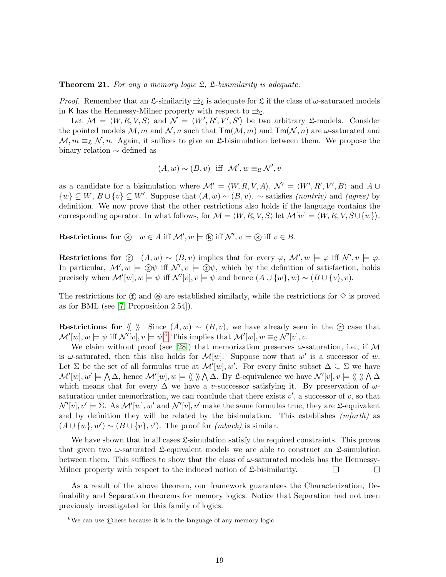**Theorem 21.** For any a memory logic  $\mathfrak{L}$ ,  $\mathfrak{L}$ -bisimilarity is adequate.

*Proof.* Remember that an  $\mathfrak{L}$ -similarity  $\Rightarrow_{\mathfrak{L}}$  is adequate for  $\mathfrak{L}$  if the class of  $\omega$ -saturated models in K has the Hennessy-Milner property with respect to  $\Rightarrow$ <sub>2</sub>.

Let  $\mathcal{M} = \langle W, R, V, S \rangle$  and  $\mathcal{N} = \langle W', R', V', S' \rangle$  be two arbitrary £-models. Consider the pointed models  $M, m$  and  $N, n$  such that  $\textsf{Tm}(M, m)$  and  $\textsf{Tm}(N, n)$  are  $\omega$ -saturated and  $M, m \equiv_{\mathfrak{L}} N, n$ . Again, it suffices to give an  $\mathfrak{L}$ -bisimulation between them. We propose the binary relation ∼ defined as

$$
(A, w) \sim (B, v)
$$
 iff  $\mathcal{M}', w \equiv_{\mathfrak{L}} \mathcal{N}', v$ 

as a candidate for a bisimulation where  $\mathcal{M}' = \langle W, R, V, A \rangle$ ,  $\mathcal{N}' = \langle W', R', V', B \rangle$  and  $A \cup$  $\{w\} \subseteq W, B \cup \{v\} \subseteq W'$ . Suppose that  $(A, w) \sim (B, v)$ .  $\sim$  satisfies *(nontriv)* and *(agree)* by definition. We now prove that the other restrictions also holds if the language contains the corresponding operator. In what follows, for  $\mathcal{M} = \langle W, R, V, S \rangle$  let  $\mathcal{M}[w] = \langle W, R, V, S \cup \{w\} \rangle$ .

Restrictions for  $\& w \in A$  iff  $\mathcal{M}', w \models \& \text{ iff } \mathcal{N}', v \models \& \text{ iff } v \in B$ .

Restrictions for  $\hat{C}$   $(A, w) \sim (B, v)$  implies that for every  $\varphi$ ,  $\mathcal{M}'$ ,  $w \models \varphi$  iff  $\mathcal{N}'$ ,  $v \models \varphi$ . In particular,  $\mathcal{M}'$ ,  $w \models \mathcal{D}\psi$  iff  $\mathcal{N}'$ ,  $v \models \mathcal{D}\psi$ , which by the definition of satisfaction, holds precisely when  $\mathcal{M}'[w], w \models \psi$  iff  $\mathcal{N}'[v], v \models \psi$  and hence  $(A \cup \{w\}, w) \sim (B \cup \{v\}, v)$ .

The restrictions for  $\hat{\mathfrak{X}}$  and  $\hat{\mathfrak{g}}$  are established similarly, while the restrictions for  $\diamond$  is proved as for BML (see [\[7,](#page-21-0) Proposition 2.54]).

Restrictions for  $\langle \rangle$  Since  $(A, w) \sim (B, v)$ , we have already seen in the  $\hat{r}$  case that  $\mathcal{M}'[w], w \models \psi \text{ iff } \mathcal{N}'[v], v \models \psi.$ <sup>[6](#page-18-0)</sup> This implies that  $\mathcal{M}'[w], w \equiv_{\mathfrak{L}} \mathcal{N}'[v], v.$ 

We claim without proof (see [\[28\]](#page-22-10)) that memorization preserves  $\omega$ -saturation, i.e., if M is  $\omega$ -saturated, then this also holds for  $\mathcal{M}[w]$ . Suppose now that  $w'$  is a successor of w. Let  $\Sigma$  be the set of all formulas true at  $\mathcal{M}'[w], w'$ . For every finite subset  $\Delta \subseteq \Sigma$  we have  $\mathcal{M}'[w], w' \models \bigwedge \Delta$ , hence  $\mathcal{M}'[w], w \models \langle \langle \rangle \rangle \bigwedge \Delta$ . By L-equivalence we have  $\mathcal{N}'[v], v \models \langle \langle \rangle \rangle \bigwedge \Delta$ which means that for every  $\Delta$  we have a v-successor satisfying it. By preservation of  $\omega$ saturation under memorization, we can conclude that there exists  $v'$ , a successor of  $v$ , so that  $\mathcal{N}'[v], v' \models \Sigma$ . As  $\mathcal{M}'[w], w'$  and  $\mathcal{N}'[v], v'$  make the same formulas true, they are  $\mathfrak{L}$ -equivalent and by definition they will be related by the bisimulation. This establishes  $(mforth)$  as  $(A \cup \{w\}, w') \sim (B \cup \{v\}, v')$ . The proof for *(mback)* is similar.

We have shown that in all cases  $\mathfrak{L}$ -simulation satisfy the required constraints. This proves that given two  $\omega$ -saturated  $\mathfrak{L}$ -equivalent models we are able to construct an  $\mathfrak{L}$ -simulation between them. This suffices to show that the class of  $\omega$ -saturated models has the Hennessy-Milner property with respect to the induced notion of  $\mathfrak{L}$ -bisimilarity. П  $\Box$ 

As a result of the above theorem, our framework guarantees the Characterization, Definability and Separation theorems for memory logics. Notice that Separation had not been previously investigated for this family of logics.

<span id="page-18-0"></span> $^6\mathrm{We}$  can use  $\textcircled{e}$  here because it is in the language of any memory logic.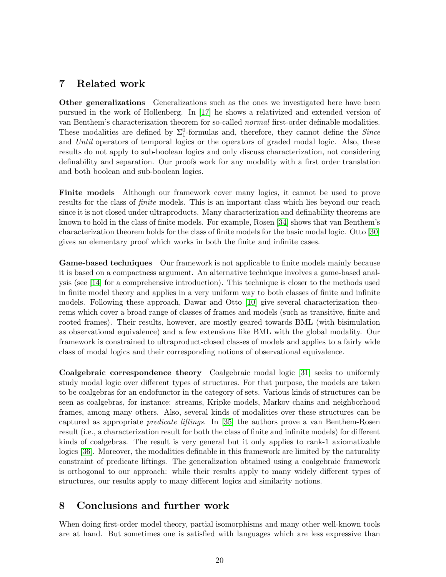# <span id="page-19-0"></span>7 Related work

Other generalizations Generalizations such as the ones we investigated here have been pursued in the work of Hollenberg. In [\[17\]](#page-21-14) he shows a relativized and extended version of van Benthem's characterization theorem for so-called normal first-order definable modalities. These modalities are defined by  $\Sigma_1^0$ -formulas and, therefore, they cannot define the *Since* and Until operators of temporal logics or the operators of graded modal logic. Also, these results do not apply to sub-boolean logics and only discuss characterization, not considering definability and separation. Our proofs work for any modality with a first order translation and both boolean and sub-boolean logics.

Finite models Although our framework cover many logics, it cannot be used to prove results for the class of *finite* models. This is an important class which lies beyond our reach since it is not closed under ultraproducts. Many characterization and definability theorems are known to hold in the class of finite models. For example, Rosen [\[34\]](#page-22-11) shows that van Benthem's characterization theorem holds for the class of finite models for the basic modal logic. Otto [\[30\]](#page-22-12) gives an elementary proof which works in both the finite and infinite cases.

Game-based techniques Our framework is not applicable to finite models mainly because it is based on a compactness argument. An alternative technique involves a game-based analysis (see [\[14\]](#page-21-15) for a comprehensive introduction). This technique is closer to the methods used in finite model theory and applies in a very uniform way to both classes of finite and infinite models. Following these approach, Dawar and Otto [\[10\]](#page-21-16) give several characterization theorems which cover a broad range of classes of frames and models (such as transitive, finite and rooted frames). Their results, however, are mostly geared towards BML (with bisimulation as observational equivalence) and a few extensions like BML with the global modality. Our framework is constrained to ultraproduct-closed classes of models and applies to a fairly wide class of modal logics and their corresponding notions of observational equivalence.

Coalgebraic correspondence theory Coalgebraic modal logic [\[31\]](#page-22-13) seeks to uniformly study modal logic over different types of structures. For that purpose, the models are taken to be coalgebras for an endofunctor in the category of sets. Various kinds of structures can be seen as coalgebras, for instance: streams, Kripke models, Markov chains and neighborhood frames, among many others. Also, several kinds of modalities over these structures can be captured as appropriate predicate liftings. In [\[35\]](#page-22-14) the authors prove a van Benthem-Rosen result (i.e., a characterization result for both the class of finite and infinite models) for different kinds of coalgebras. The result is very general but it only applies to rank-1 axiomatizable logics [\[36\]](#page-22-15). Moreover, the modalities definable in this framework are limited by the naturality constraint of predicate liftings. The generalization obtained using a coalgebraic framework is orthogonal to our approach: while their results apply to many widely different types of structures, our results apply to many different logics and similarity notions.

#### <span id="page-19-1"></span>8 Conclusions and further work

When doing first-order model theory, partial isomorphisms and many other well-known tools are at hand. But sometimes one is satisfied with languages which are less expressive than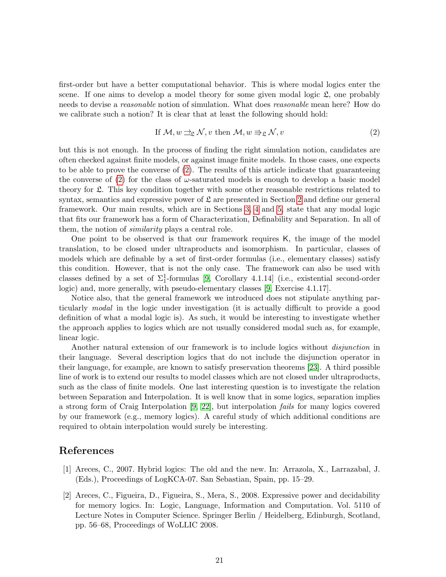first-order but have a better computational behavior. This is where modal logics enter the scene. If one aims to develop a model theory for some given modal logic  $\mathfrak{L}$ , one probably needs to devise a reasonable notion of simulation. What does reasonable mean here? How do we calibrate such a notion? It is clear that at least the following should hold:

<span id="page-20-2"></span>If 
$$
\mathcal{M}, w \rightrightarrows_{\mathfrak{L}} \mathcal{N}, v
$$
 then  $\mathcal{M}, w \rightrightarrows_{\mathfrak{L}} \mathcal{N}, v$  (2)

but this is not enough. In the process of finding the right simulation notion, candidates are often checked against finite models, or against image finite models. In those cases, one expects to be able to prove the converse of [\(2\)](#page-20-2). The results of this article indicate that guaranteeing the converse of  $(2)$  for the class of  $\omega$ -saturated models is enough to develop a basic model theory for L. This key condition together with some other reasonable restrictions related to syntax, semantics and expressive power of  $\mathfrak L$  are presented in Section [2](#page-4-0) and define our general framework. Our main results, which are in Sections [3,](#page-6-1) [4](#page-10-0) and [5,](#page-13-0) state that any modal logic that fits our framework has a form of Characterization, Definability and Separation. In all of them, the notion of *similarity* plays a central role.

One point to be observed is that our framework requires K, the image of the model translation, to be closed under ultraproducts and isomorphism. In particular, classes of models which are definable by a set of first-order formulas (i.e., elementary classes) satisfy this condition. However, that is not the only case. The framework can also be used with classes defined by a set of  $\Sigma_1^1$ -formulas [\[9,](#page-21-4) Corollary 4.1.14] (i.e., existential second-order logic) and, more generally, with pseudo-elementary classes [\[9,](#page-21-4) Exercise 4.1.17].

Notice also, that the general framework we introduced does not stipulate anything particularly modal in the logic under investigation (it is actually difficult to provide a good definition of what a modal logic is). As such, it would be interesting to investigate whether the approach applies to logics which are not usually considered modal such as, for example, linear logic.

Another natural extension of our framework is to include logics without disjunction in their language. Several description logics that do not include the disjunction operator in their language, for example, are known to satisfy preservation theorems [\[23\]](#page-22-16). A third possible line of work is to extend our results to model classes which are not closed under ultraproducts, such as the class of finite models. One last interesting question is to investigate the relation between Separation and Interpolation. It is well know that in some logics, separation implies a strong form of Craig Interpolation [\[9,](#page-21-4) [22\]](#page-22-2), but interpolation fails for many logics covered by our framework (e.g., memory logics). A careful study of which additional conditions are required to obtain interpolation would surely be interesting.

#### References

- <span id="page-20-1"></span>[1] Areces, C., 2007. Hybrid logics: The old and the new. In: Arrazola, X., Larrazabal, J. (Eds.), Proceedings of LogKCA-07. San Sebastian, Spain, pp. 15–29.
- <span id="page-20-0"></span>[2] Areces, C., Figueira, D., Figueira, S., Mera, S., 2008. Expressive power and decidability for memory logics. In: Logic, Language, Information and Computation. Vol. 5110 of Lecture Notes in Computer Science. Springer Berlin / Heidelberg, Edinburgh, Scotland, pp. 56–68, Proceedings of WoLLIC 2008.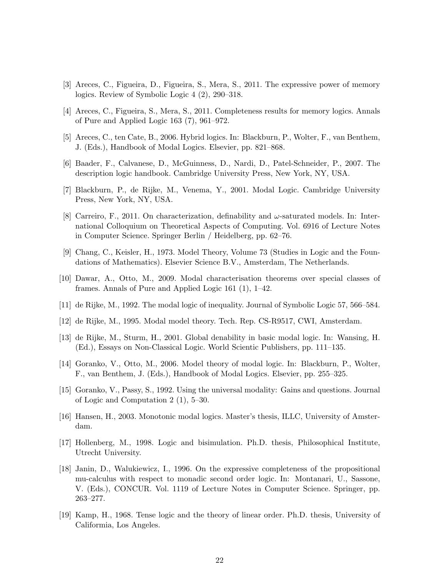- <span id="page-21-10"></span>[3] Areces, C., Figueira, D., Figueira, S., Mera, S., 2011. The expressive power of memory logics. Review of Symbolic Logic 4 (2), 290–318.
- <span id="page-21-13"></span>[4] Areces, C., Figueira, S., Mera, S., 2011. Completeness results for memory logics. Annals of Pure and Applied Logic 163 (7), 961–972.
- <span id="page-21-12"></span>[5] Areces, C., ten Cate, B., 2006. Hybrid logics. In: Blackburn, P., Wolter, F., van Benthem, J. (Eds.), Handbook of Modal Logics. Elsevier, pp. 821–868.
- <span id="page-21-11"></span>[6] Baader, F., Calvanese, D., McGuinness, D., Nardi, D., Patel-Schneider, P., 2007. The description logic handbook. Cambridge University Press, New York, NY, USA.
- <span id="page-21-0"></span>[7] Blackburn, P., de Rijke, M., Venema, Y., 2001. Modal Logic. Cambridge University Press, New York, NY, USA.
- <span id="page-21-8"></span>[8] Carreiro, F., 2011. On characterization, definability and  $\omega$ -saturated models. In: International Colloquium on Theoretical Aspects of Computing. Vol. 6916 of Lecture Notes in Computer Science. Springer Berlin / Heidelberg, pp. 62–76.
- <span id="page-21-4"></span>[9] Chang, C., Keisler, H., 1973. Model Theory, Volume 73 (Studies in Logic and the Foundations of Mathematics). Elsevier Science B.V., Amsterdam, The Netherlands.
- <span id="page-21-16"></span>[10] Dawar, A., Otto, M., 2009. Modal characterisation theorems over special classes of frames. Annals of Pure and Applied Logic 161 (1), 1–42.
- <span id="page-21-3"></span>[11] de Rijke, M., 1992. The modal logic of inequality. Journal of Symbolic Logic 57, 566–584.
- <span id="page-21-5"></span>[12] de Rijke, M., 1995. Modal model theory. Tech. Rep. CS-R9517, CWI, Amsterdam.
- <span id="page-21-7"></span>[13] de Rijke, M., Sturm, H., 2001. Global denability in basic modal logic. In: Wansing, H. (Ed.), Essays on Non-Classical Logic. World Scientic Publishers, pp. 111–135.
- <span id="page-21-15"></span>[14] Goranko, V., Otto, M., 2006. Model theory of modal logic. In: Blackburn, P., Wolter, F., van Benthem, J. (Eds.), Handbook of Modal Logics. Elsevier, pp. 255–325.
- <span id="page-21-2"></span>[15] Goranko, V., Passy, S., 1992. Using the universal modality: Gains and questions. Journal of Logic and Computation 2 (1), 5–30.
- <span id="page-21-9"></span>[16] Hansen, H., 2003. Monotonic modal logics. Master's thesis, ILLC, University of Amsterdam.
- <span id="page-21-14"></span>[17] Hollenberg, M., 1998. Logic and bisimulation. Ph.D. thesis, Philosophical Institute, Utrecht University.
- <span id="page-21-6"></span>[18] Janin, D., Walukiewicz, I., 1996. On the expressive completeness of the propositional mu-calculus with respect to monadic second order logic. In: Montanari, U., Sassone, V. (Eds.), CONCUR. Vol. 1119 of Lecture Notes in Computer Science. Springer, pp. 263–277.
- <span id="page-21-1"></span>[19] Kamp, H., 1968. Tense logic and the theory of linear order. Ph.D. thesis, University of Califormia, Los Angeles.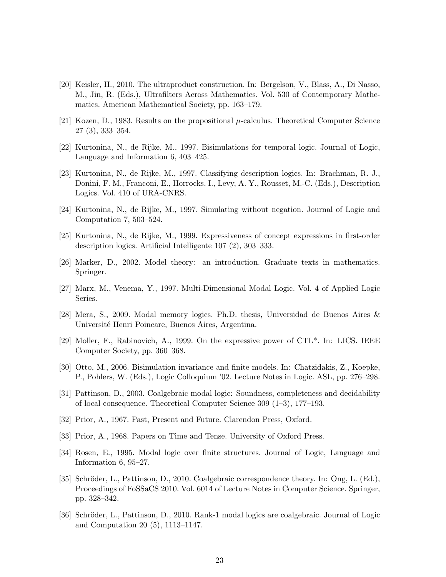- <span id="page-22-7"></span>[20] Keisler, H., 2010. The ultraproduct construction. In: Bergelson, V., Blass, A., Di Nasso, M., Jin, R. (Eds.), Ultrafilters Across Mathematics. Vol. 530 of Contemporary Mathematics. American Mathematical Society, pp. 163–179.
- <span id="page-22-0"></span>[21] Kozen, D., 1983. Results on the propositional  $\mu$ -calculus. Theoretical Computer Science 27 (3), 333–354.
- <span id="page-22-2"></span>[22] Kurtonina, N., de Rijke, M., 1997. Bisimulations for temporal logic. Journal of Logic, Language and Information 6, 403–425.
- <span id="page-22-16"></span>[23] Kurtonina, N., de Rijke, M., 1997. Classifying description logics. In: Brachman, R. J., Donini, F. M., Franconi, E., Horrocks, I., Levy, A. Y., Rousset, M.-C. (Eds.), Description Logics. Vol. 410 of URA-CNRS.
- <span id="page-22-6"></span>[24] Kurtonina, N., de Rijke, M., 1997. Simulating without negation. Journal of Logic and Computation 7, 503–524.
- <span id="page-22-3"></span>[25] Kurtonina, N., de Rijke, M., 1999. Expressiveness of concept expressions in first-order description logics. Artificial Intelligente 107 (2), 303–333.
- <span id="page-22-1"></span>[26] Marker, D., 2002. Model theory: an introduction. Graduate texts in mathematics. Springer.
- <span id="page-22-5"></span>[27] Marx, M., Venema, Y., 1997. Multi-Dimensional Modal Logic. Vol. 4 of Applied Logic Series.
- <span id="page-22-10"></span>[28] Mera, S., 2009. Modal memory logics. Ph.D. thesis, Universidad de Buenos Aires & Université Henri Poincare, Buenos Aires, Argentina.
- <span id="page-22-4"></span>[29] Moller, F., Rabinovich, A., 1999. On the expressive power of CTL\*. In: LICS. IEEE Computer Society, pp. 360–368.
- <span id="page-22-12"></span>[30] Otto, M., 2006. Bisimulation invariance and finite models. In: Chatzidakis, Z., Koepke, P., Pohlers, W. (Eds.), Logic Colloquium '02. Lecture Notes in Logic. ASL, pp. 276–298.
- <span id="page-22-13"></span>[31] Pattinson, D., 2003. Coalgebraic modal logic: Soundness, completeness and decidability of local consequence. Theoretical Computer Science 309 (1–3), 177–193.
- <span id="page-22-8"></span>[32] Prior, A., 1967. Past, Present and Future. Clarendon Press, Oxford.
- <span id="page-22-9"></span>[33] Prior, A., 1968. Papers on Time and Tense. University of Oxford Press.
- <span id="page-22-11"></span>[34] Rosen, E., 1995. Modal logic over finite structures. Journal of Logic, Language and Information 6, 95–27.
- <span id="page-22-14"></span>[35] Schröder, L., Pattinson, D., 2010. Coalgebraic correspondence theory. In: Ong, L. (Ed.), Proceedings of FoSSaCS 2010. Vol. 6014 of Lecture Notes in Computer Science. Springer, pp. 328–342.
- <span id="page-22-15"></span>[36] Schröder, L., Pattinson, D., 2010. Rank-1 modal logics are coalgebraic. Journal of Logic and Computation 20 (5), 1113–1147.